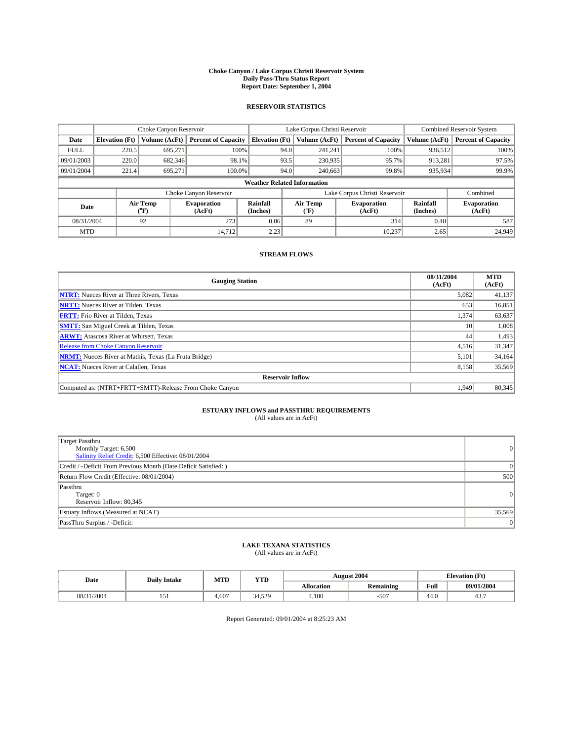#### **Choke Canyon / Lake Corpus Christi Reservoir System Daily Pass-Thru Status Report Report Date: September 1, 2004**

#### **RESERVOIR STATISTICS**

|                                    | Choke Canyon Reservoir |                  | Lake Corpus Christi Reservoir |                       |      |                  | <b>Combined Reservoir System</b> |                      |                              |
|------------------------------------|------------------------|------------------|-------------------------------|-----------------------|------|------------------|----------------------------------|----------------------|------------------------------|
| Date                               | <b>Elevation</b> (Ft)  | Volume (AcFt)    | <b>Percent of Capacity</b>    | <b>Elevation (Ft)</b> |      | Volume (AcFt)    | <b>Percent of Capacity</b>       | Volume (AcFt)        | <b>Percent of Capacity</b>   |
| <b>FULL</b>                        | 220.5                  | 695,271          | 100%                          |                       | 94.0 | 241,241          | 100%                             | 936.512              | 100%                         |
| 09/01/2003                         | 220.0                  | 682,346          | 98.1%                         |                       | 93.5 | 230,935          | 95.7%                            | 913.281              | 97.5%                        |
| 09/01/2004                         | 221.4                  | 695.271          | 100.0%                        |                       | 94.0 | 240,663          | 99.8%                            | 935,934              | 99.9%                        |
| <b>Weather Related Information</b> |                        |                  |                               |                       |      |                  |                                  |                      |                              |
|                                    |                        |                  | Choke Canyon Reservoir        |                       |      |                  | Lake Corpus Christi Reservoir    |                      | Combined                     |
| Date                               |                        | Air Temp<br>(°F) | <b>Evaporation</b><br>(AcFt)  | Rainfall<br>(Inches)  |      | Air Temp<br>("F) | <b>Evaporation</b><br>(AcFt)     | Rainfall<br>(Inches) | <b>Evaporation</b><br>(AcFt) |
| 08/31/2004                         |                        | 92               | 273                           | 0.06                  |      | 89               | 314                              | 0.40                 | 587                          |
| <b>MTD</b>                         |                        |                  | 14,712                        | 2.23                  |      |                  | 10,237                           | 2.65                 | 24.949                       |

### **STREAM FLOWS**

| <b>Gauging Station</b>                                       | 08/31/2004<br>(AcFt) | <b>MTD</b><br>(AcFt) |  |  |  |  |
|--------------------------------------------------------------|----------------------|----------------------|--|--|--|--|
| <b>NTRT:</b> Nueces River at Three Rivers, Texas             | 5,082                | 41,137               |  |  |  |  |
| <b>NRTT:</b> Nueces River at Tilden, Texas                   | 653                  | 16,851               |  |  |  |  |
| <b>FRTT:</b> Frio River at Tilden, Texas                     | 1,374                | 63,637               |  |  |  |  |
| <b>SMTT:</b> San Miguel Creek at Tilden, Texas               | 10                   | 1,008                |  |  |  |  |
| <b>ARWT:</b> Atascosa River at Whitsett, Texas               | 44                   | 1,493                |  |  |  |  |
| <b>Release from Choke Canyon Reservoir</b>                   | 4,516                | 31,347               |  |  |  |  |
| <b>NRMT:</b> Nueces River at Mathis, Texas (La Fruta Bridge) | 5.101                | 34,164               |  |  |  |  |
| <b>NCAT:</b> Nueces River at Calallen, Texas                 | 8,158                | 35,569               |  |  |  |  |
| <b>Reservoir Inflow</b>                                      |                      |                      |  |  |  |  |
| Computed as: (NTRT+FRTT+SMTT)-Release From Choke Canvon      | 1.949                | 80.345               |  |  |  |  |

## **ESTUARY INFLOWS and PASSTHRU REQUIREMENTS**<br>(All values are in AcFt)

| Target Passthru<br>Monthly Target: 6,500<br>Salinity Relief Credit: 6,500 Effective: 08/01/2004 | $\Omega$ |
|-------------------------------------------------------------------------------------------------|----------|
| Credit / -Deficit From Previous Month (Date Deficit Satisfied: )                                |          |
| Return Flow Credit (Effective: 08/01/2004)                                                      | 500      |
| Passthru<br>Target: 0<br>Reservoir Inflow: 80,345                                               | $\Omega$ |
| Estuary Inflows (Measured at NCAT)                                                              | 35,569   |
| PassThru Surplus / -Deficit:                                                                    | 0        |

# **LAKE TEXANA STATISTICS** (All values are in AcFt)

| Date   | <b>Daily Intake</b> | MTD   | <b>YTD</b> |                   | <b>August 2004</b> | <b>Elevation (Ft)</b>      |            |
|--------|---------------------|-------|------------|-------------------|--------------------|----------------------------|------------|
|        |                     |       |            | <b>Allocation</b> | <b>Remaining</b>   | Full                       | 09/01/2004 |
| 1/2004 | 1J1                 | 4,607 | 34.529     | 4.100             | $-50^{-}$          | $\sim$<br>44. <sub>V</sub> | 45.,       |

Report Generated: 09/01/2004 at 8:25:23 AM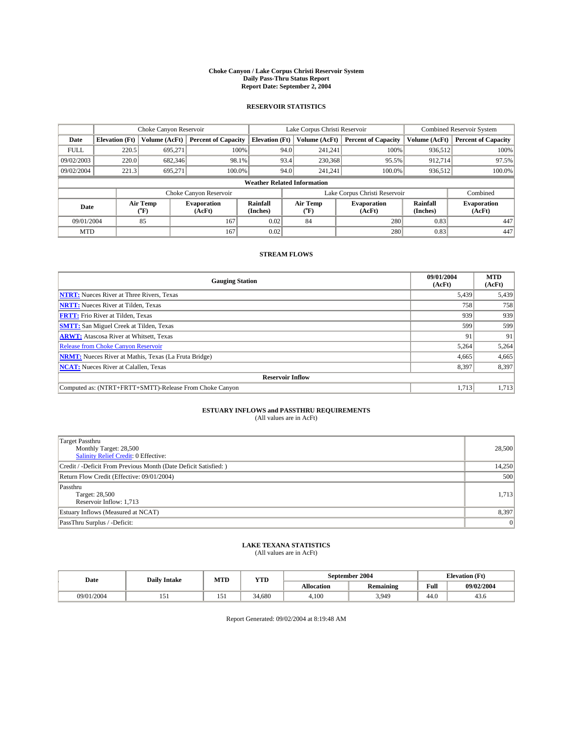#### **Choke Canyon / Lake Corpus Christi Reservoir System Daily Pass-Thru Status Report Report Date: September 2, 2004**

#### **RESERVOIR STATISTICS**

|                                    | Choke Canyon Reservoir |                  | Lake Corpus Christi Reservoir |                       |      |                  | Combined Reservoir System     |                      |                              |
|------------------------------------|------------------------|------------------|-------------------------------|-----------------------|------|------------------|-------------------------------|----------------------|------------------------------|
| Date                               | <b>Elevation</b> (Ft)  | Volume (AcFt)    | <b>Percent of Capacity</b>    | <b>Elevation (Ft)</b> |      | Volume (AcFt)    | <b>Percent of Capacity</b>    | Volume (AcFt)        | <b>Percent of Capacity</b>   |
| <b>FULL</b>                        | 220.5                  | 695,271          | 100%                          |                       | 94.0 | 241,241          | 100%                          | 936.512              | 100%                         |
| 09/02/2003                         | 220.0                  | 682,346          | 98.1%                         |                       | 93.4 | 230,368          | 95.5%                         | 912.714              | 97.5%                        |
| 09/02/2004                         | 221.3                  | 695.271          | 100.0%                        |                       | 94.0 | 241.241          | $100.0\%$                     | 936,512              | 100.0%                       |
| <b>Weather Related Information</b> |                        |                  |                               |                       |      |                  |                               |                      |                              |
|                                    |                        |                  | Choke Canyon Reservoir        |                       |      |                  | Lake Corpus Christi Reservoir |                      | Combined                     |
| Date                               |                        | Air Temp<br>(°F) | <b>Evaporation</b><br>(AcFt)  | Rainfall<br>(Inches)  |      | Air Temp<br>("F) | <b>Evaporation</b><br>(AcFt)  | Rainfall<br>(Inches) | <b>Evaporation</b><br>(AcFt) |
| 09/01/2004                         |                        | 85               | 167                           | 0.02                  |      | 84               | 280                           | 0.83                 | 447                          |
| <b>MTD</b>                         |                        |                  | 167                           | 0.02                  |      |                  | 280                           | 0.83                 | 447                          |

### **STREAM FLOWS**

| <b>Gauging Station</b>                                       | 09/01/2004<br>(AcFt) | <b>MTD</b><br>(AcFt) |  |  |  |  |  |
|--------------------------------------------------------------|----------------------|----------------------|--|--|--|--|--|
| <b>NTRT:</b> Nueces River at Three Rivers, Texas             | 5,439                | 5,439                |  |  |  |  |  |
| <b>NRTT:</b> Nueces River at Tilden, Texas                   | 758                  | 758                  |  |  |  |  |  |
| <b>FRTT:</b> Frio River at Tilden, Texas                     | 939                  | 939                  |  |  |  |  |  |
| <b>SMTT:</b> San Miguel Creek at Tilden, Texas               | 599                  | 599                  |  |  |  |  |  |
| <b>ARWT:</b> Atascosa River at Whitsett, Texas               | 91                   | 91                   |  |  |  |  |  |
| Release from Choke Canyon Reservoir                          | 5,264                | 5,264                |  |  |  |  |  |
| <b>NRMT:</b> Nueces River at Mathis, Texas (La Fruta Bridge) | 4,665                | 4,665                |  |  |  |  |  |
| <b>NCAT:</b> Nueces River at Calallen, Texas                 | 8,397                | 8,397                |  |  |  |  |  |
| <b>Reservoir Inflow</b>                                      |                      |                      |  |  |  |  |  |
| Computed as: (NTRT+FRTT+SMTT)-Release From Choke Canyon      | 1.713                | 1,713                |  |  |  |  |  |

## **ESTUARY INFLOWS and PASSTHRU REQUIREMENTS**<br>(All values are in AcFt)

| Target Passthru                                                  |        |
|------------------------------------------------------------------|--------|
| Monthly Target: 28,500                                           | 28,500 |
| Salinity Relief Credit: 0 Effective:                             |        |
| Credit / -Deficit From Previous Month (Date Deficit Satisfied: ) | 14,250 |
| Return Flow Credit (Effective: 09/01/2004)                       | 500    |
| Passthru                                                         |        |
| Target: 28,500                                                   | 1,713  |
| Reservoir Inflow: 1,713                                          |        |
| Estuary Inflows (Measured at NCAT)                               | 8,397  |
| PassThru Surplus / -Deficit:                                     | 0      |

# **LAKE TEXANA STATISTICS** (All values are in AcFt)

| Date       | <b>Daily Intake</b> | MTD | <b>YTD</b> |                   | September 2004   | <b>Elevation</b> (Ft) |            |
|------------|---------------------|-----|------------|-------------------|------------------|-----------------------|------------|
|            |                     |     |            | <b>Allocation</b> | <b>Remaining</b> | Full                  | 09/02/2004 |
| 09/01/2004 | 1J1                 | .   | 34.680     | 4,100             | 3,949            | $\sim$<br>44.0        | 45.0       |

Report Generated: 09/02/2004 at 8:19:48 AM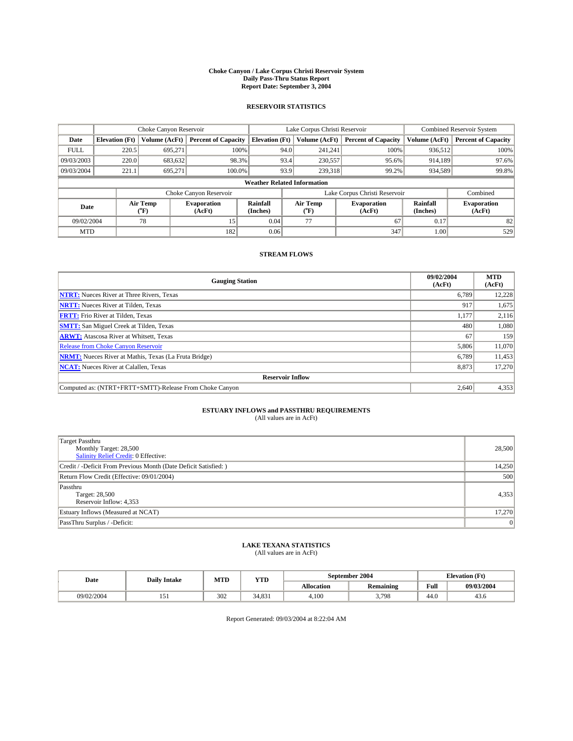#### **Choke Canyon / Lake Corpus Christi Reservoir System Daily Pass-Thru Status Report Report Date: September 3, 2004**

#### **RESERVOIR STATISTICS**

|             |                                    | Choke Canyon Reservoir  |                              |                       | Lake Corpus Christi Reservoir | <b>Combined Reservoir System</b> |                      |                              |  |
|-------------|------------------------------------|-------------------------|------------------------------|-----------------------|-------------------------------|----------------------------------|----------------------|------------------------------|--|
| Date        | <b>Elevation</b> (Ft)              | <b>Volume (AcFt)</b>    | <b>Percent of Capacity</b>   | <b>Elevation</b> (Ft) | Volume (AcFt)                 | <b>Percent of Capacity</b>       | Volume (AcFt)        | <b>Percent of Capacity</b>   |  |
| <b>FULL</b> | 220.5                              | 695,271                 | 100%                         |                       | 94.0<br>241,241               | 100%                             | 936.512              | 100%                         |  |
| 09/03/2003  | 220.0                              | 683.632                 | 98.3%                        |                       | 93.4<br>230,557               | 95.6%                            | 914.189              | 97.6%                        |  |
| 09/03/2004  | 221.1                              | 695.271                 | 100.0%                       |                       | 93.9<br>239,318               | 99.2%                            | 934,589              | 99.8%                        |  |
|             | <b>Weather Related Information</b> |                         |                              |                       |                               |                                  |                      |                              |  |
|             |                                    |                         | Choke Canyon Reservoir       |                       |                               | Lake Corpus Christi Reservoir    |                      | Combined                     |  |
| Date        |                                    | <b>Air Temp</b><br>(°F) | <b>Evaporation</b><br>(AcFt) | Rainfall<br>(Inches)  | Air Temp<br>("F)              | <b>Evaporation</b><br>(AcFt)     | Rainfall<br>(Inches) | <b>Evaporation</b><br>(AcFt) |  |
| 09/02/2004  |                                    | 78                      | 15                           | 0.04                  | 77                            | 67                               | 0.17                 | 82                           |  |
| <b>MTD</b>  |                                    |                         | 182                          | 0.06                  |                               | 347                              | 1.00                 | 529                          |  |

### **STREAM FLOWS**

| <b>Gauging Station</b>                                       | 09/02/2004<br>(AcFt) | <b>MTD</b><br>(AcFt) |
|--------------------------------------------------------------|----------------------|----------------------|
| <b>NTRT:</b> Nueces River at Three Rivers, Texas             | 6,789                | 12,228               |
| <b>NRTT:</b> Nueces River at Tilden, Texas                   | 917                  | 1,675                |
| <b>FRTT:</b> Frio River at Tilden, Texas                     | 1,177                | 2,116                |
| <b>SMTT:</b> San Miguel Creek at Tilden, Texas               | 480                  | 1,080                |
| <b>ARWT:</b> Atascosa River at Whitsett, Texas               | 67                   | 159                  |
| <b>Release from Choke Canyon Reservoir</b>                   | 5,806                | 11,070               |
| <b>NRMT:</b> Nueces River at Mathis, Texas (La Fruta Bridge) | 6,789                | 11,453               |
| <b>NCAT:</b> Nueces River at Calallen, Texas                 | 8,873                | 17,270               |
| <b>Reservoir Inflow</b>                                      |                      |                      |
| Computed as: (NTRT+FRTT+SMTT)-Release From Choke Canyon      | 2.640                | 4,353                |

# **ESTUARY INFLOWS and PASSTHRU REQUIREMENTS**<br>(All values are in AcFt)

| Target Passthru                                                  |        |
|------------------------------------------------------------------|--------|
| Monthly Target: 28,500<br>Salinity Relief Credit: 0 Effective:   | 28,500 |
| Credit / -Deficit From Previous Month (Date Deficit Satisfied: ) | 14,250 |
|                                                                  |        |
| Return Flow Credit (Effective: 09/01/2004)                       | 500    |
| Passthru                                                         |        |
| Target: 28,500                                                   | 4,353  |
| Reservoir Inflow: 4,353                                          |        |
| Estuary Inflows (Measured at NCAT)                               | 17,270 |
| PassThru Surplus / -Deficit:                                     | 0      |

# **LAKE TEXANA STATISTICS** (All values are in AcFt)

| Date       | <b>Daily Intake</b>               | MTD | <b>YTD</b> |                   | September 2004   | <b>Elevation</b> (Ft) |            |
|------------|-----------------------------------|-----|------------|-------------------|------------------|-----------------------|------------|
|            |                                   |     |            | <b>Allocation</b> | <b>Remaining</b> | Full                  | 09/03/2004 |
| 09/02/2004 | $\overline{\phantom{0}}$<br>1 J 1 | 302 | 34.831     | 4.100             | 3,798            | $\sim$<br>44.U        | 45.0       |

Report Generated: 09/03/2004 at 8:22:04 AM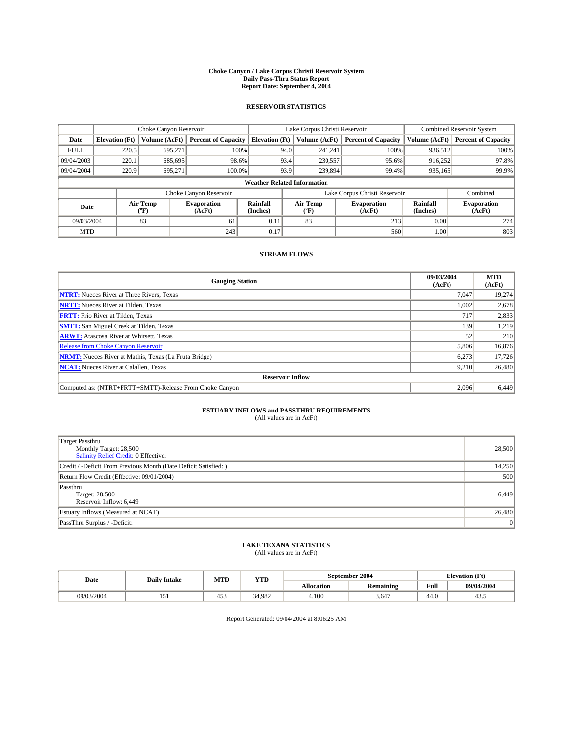#### **Choke Canyon / Lake Corpus Christi Reservoir System Daily Pass-Thru Status Report Report Date: September 4, 2004**

#### **RESERVOIR STATISTICS**

|                                    | Choke Canyon Reservoir |                  |                              |                       | Lake Corpus Christi Reservoir |                  |                               |                      | Combined Reservoir System    |  |  |
|------------------------------------|------------------------|------------------|------------------------------|-----------------------|-------------------------------|------------------|-------------------------------|----------------------|------------------------------|--|--|
| Date                               | <b>Elevation</b> (Ft)  | Volume (AcFt)    | <b>Percent of Capacity</b>   | <b>Elevation (Ft)</b> |                               | Volume (AcFt)    | <b>Percent of Capacity</b>    | Volume (AcFt)        | <b>Percent of Capacity</b>   |  |  |
| <b>FULL</b>                        | 220.5                  | 695,271          | 100%                         |                       | 94.0                          | 241,241          | 100%                          | 936.512              | 100%                         |  |  |
| 09/04/2003                         | 220.1                  | 685.695          | 98.6%                        |                       | 93.4                          | 230,557          | 95.6%                         | 916.252              | 97.8%                        |  |  |
| 09/04/2004                         | 220.9                  | 695.271          | 100.0%                       |                       | 93.9                          | 239,894          | 99.4%                         | 935,165              | 99.9%                        |  |  |
| <b>Weather Related Information</b> |                        |                  |                              |                       |                               |                  |                               |                      |                              |  |  |
|                                    |                        |                  | Choke Canyon Reservoir       |                       |                               |                  | Lake Corpus Christi Reservoir |                      | Combined                     |  |  |
| Date                               |                        | Air Temp<br>(°F) | <b>Evaporation</b><br>(AcFt) | Rainfall<br>(Inches)  |                               | Air Temp<br>("F) | <b>Evaporation</b><br>(AcFt)  | Rainfall<br>(Inches) | <b>Evaporation</b><br>(AcFt) |  |  |
| 09/03/2004                         |                        | 83               | 61                           | 0.11                  |                               | 83               | 213                           | 0.00                 | 274                          |  |  |
| <b>MTD</b>                         |                        |                  | 243                          | 0.17                  |                               |                  | 560                           | 1.00                 | 803                          |  |  |

### **STREAM FLOWS**

| <b>Gauging Station</b>                                       | 09/03/2004<br>(AcFt) | <b>MTD</b><br>(AcFt) |
|--------------------------------------------------------------|----------------------|----------------------|
| <b>NTRT:</b> Nueces River at Three Rivers, Texas             | 7,047                | 19,274               |
| <b>NRTT:</b> Nueces River at Tilden, Texas                   | 1,002                | 2,678                |
| <b>FRTT:</b> Frio River at Tilden, Texas                     | 717                  | 2,833                |
| <b>SMTT:</b> San Miguel Creek at Tilden, Texas               | 139                  | 1,219                |
| <b>ARWT:</b> Atascosa River at Whitsett, Texas               | 52                   | 210                  |
| <b>Release from Choke Canyon Reservoir</b>                   | 5,806                | 16,876               |
| <b>NRMT:</b> Nueces River at Mathis, Texas (La Fruta Bridge) | 6,273                | 17,726               |
| <b>NCAT:</b> Nueces River at Calallen, Texas                 | 9,210                | 26,480               |
| <b>Reservoir Inflow</b>                                      |                      |                      |
| Computed as: (NTRT+FRTT+SMTT)-Release From Choke Canyon      | 2.096                | 6,449                |

# **ESTUARY INFLOWS and PASSTHRU REQUIREMENTS**<br>(All values are in AcFt)

| Target Passthru<br>Monthly Target: 28,500<br>Salinity Relief Credit: 0 Effective: | 28,500 |
|-----------------------------------------------------------------------------------|--------|
| Credit / -Deficit From Previous Month (Date Deficit Satisfied: )                  | 14,250 |
| Return Flow Credit (Effective: 09/01/2004)                                        | 500    |
| Passthru<br>Target: 28,500<br>Reservoir Inflow: 6,449                             | 6,449  |
| Estuary Inflows (Measured at NCAT)                                                | 26,480 |
| PassThru Surplus / -Deficit:                                                      | 0      |

# **LAKE TEXANA STATISTICS** (All values are in AcFt)

| Date       | <b>Daily Intake</b>               | MTD | <b>YTD</b> |                   | September 2004 | <b>Elevation (Ft)</b> |            |
|------------|-----------------------------------|-----|------------|-------------------|----------------|-----------------------|------------|
|            |                                   |     |            | <b>Allocation</b> | Remaining      | Full                  | 09/04/2004 |
| 09/03/2004 | $\overline{\phantom{0}}$<br>1 J 1 | 453 | 34.982     | 4.100             | 3,647          | $\sim$<br>44.U        | 45.5       |

Report Generated: 09/04/2004 at 8:06:25 AM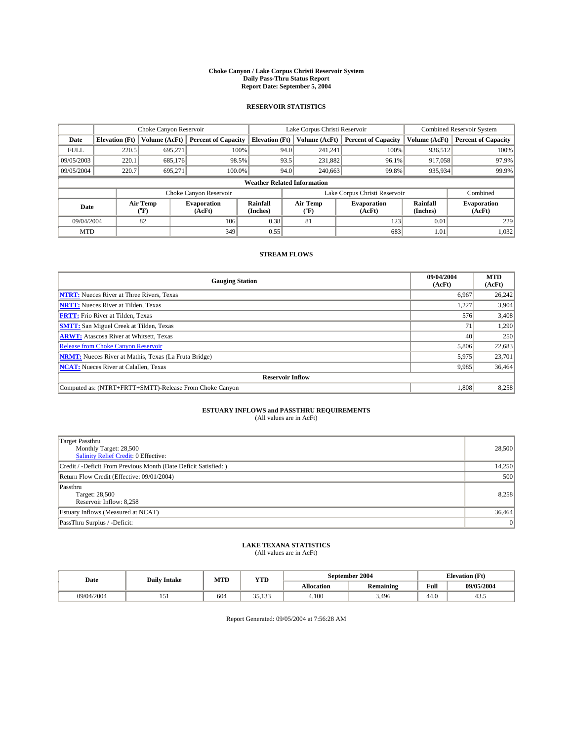#### **Choke Canyon / Lake Corpus Christi Reservoir System Daily Pass-Thru Status Report Report Date: September 5, 2004**

#### **RESERVOIR STATISTICS**

|                                    | Choke Canyon Reservoir |                  |                              |                       | Lake Corpus Christi Reservoir |                  |                               |                      | <b>Combined Reservoir System</b> |  |  |
|------------------------------------|------------------------|------------------|------------------------------|-----------------------|-------------------------------|------------------|-------------------------------|----------------------|----------------------------------|--|--|
| Date                               | <b>Elevation</b> (Ft)  | Volume (AcFt)    | <b>Percent of Capacity</b>   | <b>Elevation (Ft)</b> |                               | Volume (AcFt)    | <b>Percent of Capacity</b>    | Volume (AcFt)        | <b>Percent of Capacity</b>       |  |  |
| <b>FULL</b>                        | 220.5                  | 695,271          |                              | 100%                  | 94.0                          | 241,241          | 100%                          | 936.512              | 100%                             |  |  |
| 09/05/2003                         | 220.1                  | 685.176          | 98.5%                        |                       | 93.5                          | 231.882          | 96.1%                         | 917,058              | 97.9%                            |  |  |
| 09/05/2004                         | 220.7                  | 695.271          | 100.0%                       |                       | 94.0                          | 240,663          | 99.8%                         | 935,934              | 99.9%                            |  |  |
| <b>Weather Related Information</b> |                        |                  |                              |                       |                               |                  |                               |                      |                                  |  |  |
|                                    |                        |                  | Choke Canyon Reservoir       |                       |                               |                  | Lake Corpus Christi Reservoir |                      | Combined                         |  |  |
| Date                               |                        | Air Temp<br>(°F) | <b>Evaporation</b><br>(AcFt) | Rainfall<br>(Inches)  |                               | Air Temp<br>("F) | <b>Evaporation</b><br>(AcFt)  | Rainfall<br>(Inches) | <b>Evaporation</b><br>(AcFt)     |  |  |
| 09/04/2004                         |                        | 82               | 106                          | 0.38                  |                               | 81               | 123                           | 0.01                 | 229                              |  |  |
| <b>MTD</b>                         |                        |                  | 349                          | 0.55                  |                               |                  | 683                           | 1.01                 | 1,032                            |  |  |

### **STREAM FLOWS**

| <b>Gauging Station</b>                                       | 09/04/2004<br>(AcFt) | <b>MTD</b><br>(AcFt) |
|--------------------------------------------------------------|----------------------|----------------------|
| <b>NTRT:</b> Nueces River at Three Rivers, Texas             | 6,967                | 26,242               |
| <b>NRTT:</b> Nueces River at Tilden, Texas                   | 1.227                | 3,904                |
| <b>FRTT:</b> Frio River at Tilden, Texas                     | 576                  | 3,408                |
| <b>SMTT:</b> San Miguel Creek at Tilden, Texas               | 71                   | 1,290                |
| <b>ARWT:</b> Atascosa River at Whitsett, Texas               | 40                   | 250                  |
| <b>Release from Choke Canyon Reservoir</b>                   | 5,806                | 22,683               |
| <b>NRMT:</b> Nueces River at Mathis, Texas (La Fruta Bridge) | 5,975                | 23,701               |
| <b>NCAT:</b> Nueces River at Calallen, Texas                 | 9,985                | 36,464               |
| <b>Reservoir Inflow</b>                                      |                      |                      |
| Computed as: (NTRT+FRTT+SMTT)-Release From Choke Canyon      | 1,808                | 8,258                |

## **ESTUARY INFLOWS and PASSTHRU REQUIREMENTS**<br>(All values are in AcFt)

| Target Passthru                                                  |        |
|------------------------------------------------------------------|--------|
| Monthly Target: 28,500                                           | 28,500 |
| Salinity Relief Credit: 0 Effective:                             |        |
| Credit / -Deficit From Previous Month (Date Deficit Satisfied: ) | 14,250 |
| Return Flow Credit (Effective: 09/01/2004)                       | 500    |
| Passthru                                                         |        |
| Target: 28,500                                                   | 8,258  |
| Reservoir Inflow: 8,258                                          |        |
| Estuary Inflows (Measured at NCAT)                               | 36,464 |
| PassThru Surplus / -Deficit:                                     | 0      |

# **LAKE TEXANA STATISTICS** (All values are in AcFt)

| Date       | <b>Daily Intake</b>               | MTD | <b>YTD</b>           |                   | September 2004   | <b>Elevation</b> (Ft) |            |
|------------|-----------------------------------|-----|----------------------|-------------------|------------------|-----------------------|------------|
|            |                                   |     |                      | <b>Allocation</b> | <b>Remaining</b> | Full                  | 09/05/2004 |
| 09/04/2004 | $\overline{\phantom{0}}$<br>1 J 1 | 604 | 122<br>25<br><i></i> | 4,100             | 3,496            | $\sim$<br>44.U        | 45.5       |

Report Generated: 09/05/2004 at 7:56:28 AM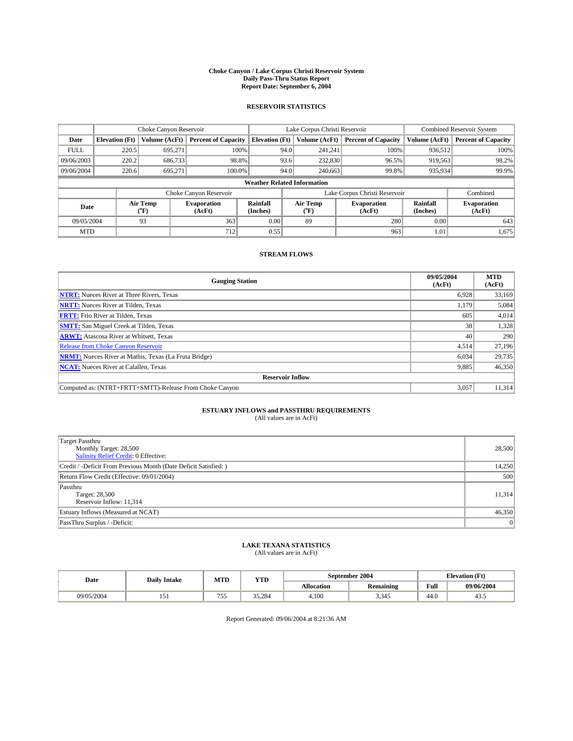#### **Choke Canyon / Lake Corpus Christi Reservoir System Daily Pass-Thru Status Report Report Date: September 6, 2004**

#### **RESERVOIR STATISTICS**

|                                    | Choke Canyon Reservoir |                  |                              |                       | Lake Corpus Christi Reservoir |                  |                               |                      | <b>Combined Reservoir System</b> |  |  |
|------------------------------------|------------------------|------------------|------------------------------|-----------------------|-------------------------------|------------------|-------------------------------|----------------------|----------------------------------|--|--|
| Date                               | <b>Elevation</b> (Ft)  | Volume (AcFt)    | <b>Percent of Capacity</b>   | <b>Elevation (Ft)</b> |                               | Volume (AcFt)    | <b>Percent of Capacity</b>    | Volume (AcFt)        | <b>Percent of Capacity</b>       |  |  |
| <b>FULL</b>                        | 220.5                  | 695,271          | 100%                         |                       | 94.0                          | 241,241          | 100%                          | 936.512              | 100%                             |  |  |
| 09/06/2003                         | 220.2                  | 686,733          | 98.8%                        |                       | 93.6                          | 232,830          | 96.5%                         | 919,563              | 98.2%                            |  |  |
| 09/06/2004                         | 220.6                  | 695.271          | 100.0%                       |                       | 94.0                          | 240,663          | 99.8%                         | 935,934              | 99.9%                            |  |  |
| <b>Weather Related Information</b> |                        |                  |                              |                       |                               |                  |                               |                      |                                  |  |  |
|                                    |                        |                  | Choke Canyon Reservoir       |                       |                               |                  | Lake Corpus Christi Reservoir |                      | Combined                         |  |  |
| Date                               |                        | Air Temp<br>(°F) | <b>Evaporation</b><br>(AcFt) | Rainfall<br>(Inches)  |                               | Air Temp<br>("F) | <b>Evaporation</b><br>(AcFt)  | Rainfall<br>(Inches) | <b>Evaporation</b><br>(AcFt)     |  |  |
| 09/05/2004                         |                        | 93               | 363                          | 0.00                  |                               | 89               | 280                           | 0.00                 | 643                              |  |  |
| <b>MTD</b>                         |                        |                  | 712                          | 0.55                  |                               |                  | 963                           | 1.01                 | 1,675                            |  |  |

### **STREAM FLOWS**

| <b>Gauging Station</b>                                       | 09/05/2004<br>(AcFt) | <b>MTD</b><br>(AcFt) |
|--------------------------------------------------------------|----------------------|----------------------|
| <b>NTRT:</b> Nueces River at Three Rivers, Texas             | 6,928                | 33,169               |
| <b>NRTT:</b> Nueces River at Tilden, Texas                   | 1.179                | 5,084                |
| <b>FRTT:</b> Frio River at Tilden, Texas                     | 605                  | 4,014                |
| <b>SMTT:</b> San Miguel Creek at Tilden, Texas               | 38 <sup>1</sup>      | 1,328                |
| <b>ARWT:</b> Atascosa River at Whitsett, Texas               | 40                   | 290                  |
| <b>Release from Choke Canyon Reservoir</b>                   | 4,514                | 27,196               |
| <b>NRMT:</b> Nueces River at Mathis, Texas (La Fruta Bridge) | 6,034                | 29,735               |
| <b>NCAT:</b> Nueces River at Calallen, Texas                 | 9,885                | 46,350               |
| <b>Reservoir Inflow</b>                                      |                      |                      |
| Computed as: (NTRT+FRTT+SMTT)-Release From Choke Canyon      | 3.057                | 11,314               |

## **ESTUARY INFLOWS and PASSTHRU REQUIREMENTS**<br>(All values are in AcFt)

| Target Passthru                                                  |        |
|------------------------------------------------------------------|--------|
| Monthly Target: 28,500                                           | 28,500 |
| Salinity Relief Credit: 0 Effective:                             |        |
| Credit / -Deficit From Previous Month (Date Deficit Satisfied: ) | 14,250 |
| Return Flow Credit (Effective: 09/01/2004)                       | 500    |
| Passthru                                                         |        |
| Target: 28,500                                                   | 11,314 |
| Reservoir Inflow: 11,314                                         |        |
| Estuary Inflows (Measured at NCAT)                               | 46,350 |
| PassThru Surplus / -Deficit:                                     | 0      |

# **LAKE TEXANA STATISTICS** (All values are in AcFt)

| Date       | <b>Daily Intake</b>             | MTD | YTD    |                   | September 2004               | <b>Elevation</b> (Ft) |            |
|------------|---------------------------------|-----|--------|-------------------|------------------------------|-----------------------|------------|
|            |                                 |     |        | <b>Allocation</b> | $\cdots$<br><b>Remaining</b> | Full                  | 09/06/2004 |
| 09/05/2004 | $\overline{\phantom{0}}$<br>1J1 | 755 | 35.284 | 4,100             | 3.345                        | $\sim$<br>44.V        | 45.5       |

Report Generated: 09/06/2004 at 8:21:36 AM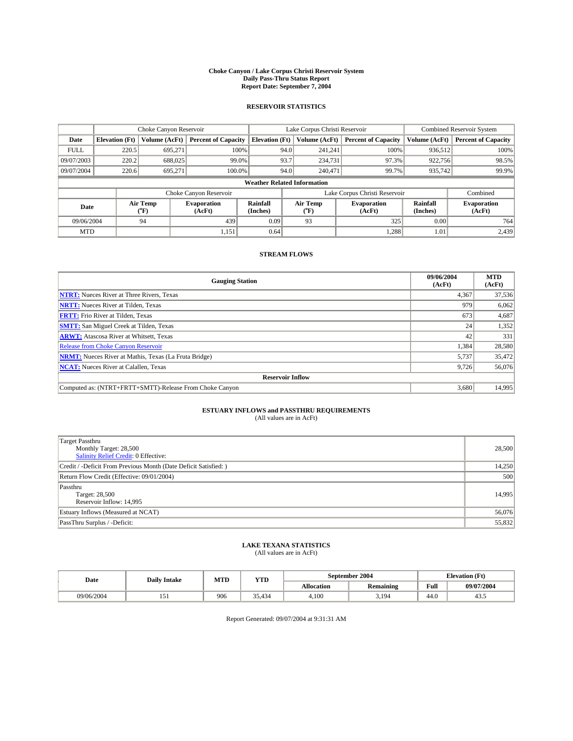#### **Choke Canyon / Lake Corpus Christi Reservoir System Daily Pass-Thru Status Report Report Date: September 7, 2004**

#### **RESERVOIR STATISTICS**

|             | Choke Canyon Reservoir             |                  | Lake Corpus Christi Reservoir |                       |      |                  | <b>Combined Reservoir System</b> |                      |                              |
|-------------|------------------------------------|------------------|-------------------------------|-----------------------|------|------------------|----------------------------------|----------------------|------------------------------|
| Date        | <b>Elevation</b> (Ft)              | Volume (AcFt)    | <b>Percent of Capacity</b>    | <b>Elevation (Ft)</b> |      | Volume (AcFt)    | <b>Percent of Capacity</b>       | Volume (AcFt)        | <b>Percent of Capacity</b>   |
| <b>FULL</b> | 220.5                              | 695,271          | 100%                          |                       | 94.0 | 241,241          | 100%                             | 936.512              | 100%                         |
| 09/07/2003  | 220.2                              | 688,025          | 99.0%                         |                       | 93.7 | 234,731          | 97.3%                            | 922,756              | 98.5%                        |
| 09/07/2004  | 220.6                              | 695.271          | 100.0%                        |                       | 94.0 | 240.471          | 99.7%                            | 935,742              | 99.9%                        |
|             | <b>Weather Related Information</b> |                  |                               |                       |      |                  |                                  |                      |                              |
|             |                                    |                  | Choke Canyon Reservoir        |                       |      |                  | Lake Corpus Christi Reservoir    |                      | Combined                     |
| Date        |                                    | Air Temp<br>(°F) | <b>Evaporation</b><br>(AcFt)  | Rainfall<br>(Inches)  |      | Air Temp<br>("F) | <b>Evaporation</b><br>(AcFt)     | Rainfall<br>(Inches) | <b>Evaporation</b><br>(AcFt) |
| 09/06/2004  |                                    | 94               | 439                           | 0.09                  |      | 93               | 325                              | 0.00                 | 764                          |
| <b>MTD</b>  |                                    |                  | 1,151                         | 0.64                  |      |                  | 1,288                            | 1.01                 | 2,439                        |

### **STREAM FLOWS**

| <b>Gauging Station</b>                                       | 09/06/2004<br>(AcFt) | <b>MTD</b><br>(AcFt) |
|--------------------------------------------------------------|----------------------|----------------------|
| <b>NTRT:</b> Nueces River at Three Rivers, Texas             | 4,367                | 37,536               |
| <b>NRTT:</b> Nueces River at Tilden, Texas                   | 979                  | 6,062                |
| <b>FRTT:</b> Frio River at Tilden, Texas                     | 673                  | 4,687                |
| <b>SMTT:</b> San Miguel Creek at Tilden, Texas               | 24                   | 1,352                |
| <b>ARWT:</b> Atascosa River at Whitsett, Texas               | 42                   | 331                  |
| <b>Release from Choke Canyon Reservoir</b>                   | 1,384                | 28,580               |
| <b>NRMT:</b> Nueces River at Mathis, Texas (La Fruta Bridge) | 5,737                | 35,472               |
| <b>NCAT:</b> Nueces River at Calallen, Texas                 | 9,726                | 56,076               |
| <b>Reservoir Inflow</b>                                      |                      |                      |
| Computed as: (NTRT+FRTT+SMTT)-Release From Choke Canyon      | 3,680                | 14,995               |

## **ESTUARY INFLOWS and PASSTHRU REQUIREMENTS**<br>(All values are in AcFt)

| <b>Target Passthru</b><br>Monthly Target: 28,500<br>Salinity Relief Credit: 0 Effective: | 28,500 |
|------------------------------------------------------------------------------------------|--------|
| Credit / -Deficit From Previous Month (Date Deficit Satisfied: )                         | 14,250 |
| Return Flow Credit (Effective: 09/01/2004)                                               | 500    |
| Passthru<br>Target: 28,500<br>Reservoir Inflow: 14,995                                   | 14,995 |
| Estuary Inflows (Measured at NCAT)                                                       | 56,076 |
| PassThru Surplus / -Deficit:                                                             | 55,832 |

# **LAKE TEXANA STATISTICS** (All values are in AcFt)

| Date       | <b>Daily Intake</b> | MTD | <b>YTD</b> |                   | September 2004   | <b>Elevation</b> (Ft) |            |
|------------|---------------------|-----|------------|-------------------|------------------|-----------------------|------------|
|            |                     |     |            | <b>Allocation</b> | <b>Remaining</b> | Full                  | 09/07/2004 |
| 09/06/2004 | 1J1                 | 906 | 35.434     | 4.100             | 5,194            | $\sim$<br>-44.0       | 43.5       |

Report Generated: 09/07/2004 at 9:31:31 AM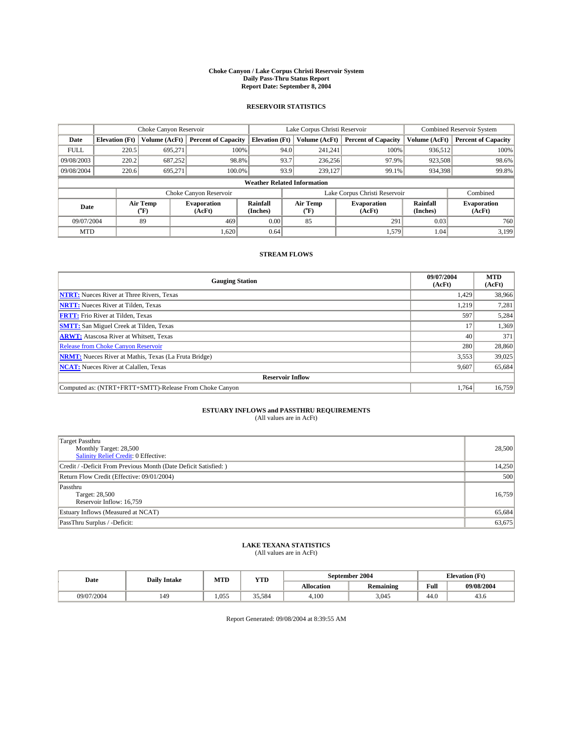#### **Choke Canyon / Lake Corpus Christi Reservoir System Daily Pass-Thru Status Report Report Date: September 8, 2004**

#### **RESERVOIR STATISTICS**

|             | Choke Canyon Reservoir             |                  | Lake Corpus Christi Reservoir |                       |      |                  | <b>Combined Reservoir System</b> |                      |                              |  |
|-------------|------------------------------------|------------------|-------------------------------|-----------------------|------|------------------|----------------------------------|----------------------|------------------------------|--|
| Date        | <b>Elevation</b> (Ft)              | Volume (AcFt)    | <b>Percent of Capacity</b>    | <b>Elevation (Ft)</b> |      | Volume (AcFt)    | <b>Percent of Capacity</b>       | Volume (AcFt)        | <b>Percent of Capacity</b>   |  |
| <b>FULL</b> | 220.5                              | 695,271          |                               | 100%                  | 94.0 | 241,241          | 100%                             | 936.512              | 100%                         |  |
| 09/08/2003  | 220.2                              | 687.252          | 98.8%                         |                       | 93.7 | 236,256          | 97.9%                            | 923,508              | 98.6%                        |  |
| 09/08/2004  | 220.6                              | 695.271          | 100.0%                        |                       | 93.9 | 239.127          | 99.1%                            | 934,398              | 99.8%                        |  |
|             | <b>Weather Related Information</b> |                  |                               |                       |      |                  |                                  |                      |                              |  |
|             |                                    |                  | Choke Canyon Reservoir        |                       |      |                  | Lake Corpus Christi Reservoir    |                      | Combined                     |  |
| Date        |                                    | Air Temp<br>(°F) | <b>Evaporation</b><br>(AcFt)  | Rainfall<br>(Inches)  |      | Air Temp<br>("F) | <b>Evaporation</b><br>(AcFt)     | Rainfall<br>(Inches) | <b>Evaporation</b><br>(AcFt) |  |
| 09/07/2004  |                                    | 89               | 469                           | 0.00                  |      | 85               | 291                              | 0.03                 | 760                          |  |
| <b>MTD</b>  |                                    |                  | 1,620                         | 0.64                  |      |                  | 1,579                            | 1.04                 | 3,199                        |  |

### **STREAM FLOWS**

| <b>Gauging Station</b>                                       | 09/07/2004<br>(AcFt) | <b>MTD</b><br>(AcFt) |
|--------------------------------------------------------------|----------------------|----------------------|
| <b>NTRT:</b> Nueces River at Three Rivers, Texas             | 1,429                | 38,966               |
| <b>NRTT:</b> Nueces River at Tilden, Texas                   | 1,219                | 7.281                |
| <b>FRTT:</b> Frio River at Tilden, Texas                     | 597                  | 5,284                |
| <b>SMTT:</b> San Miguel Creek at Tilden, Texas               |                      | 1,369                |
| <b>ARWT:</b> Atascosa River at Whitsett, Texas               | 40                   | 371                  |
| <b>Release from Choke Canyon Reservoir</b>                   | 280                  | 28,860               |
| <b>NRMT:</b> Nueces River at Mathis, Texas (La Fruta Bridge) | 3,553                | 39,025               |
| <b>NCAT:</b> Nueces River at Calallen, Texas                 | 9,607                | 65,684               |
| <b>Reservoir Inflow</b>                                      |                      |                      |
| Computed as: (NTRT+FRTT+SMTT)-Release From Choke Canyon      | 1.764                | 16,759               |

## **ESTUARY INFLOWS and PASSTHRU REQUIREMENTS**<br>(All values are in AcFt)

| Target Passthru<br>Monthly Target: 28,500<br>Salinity Relief Credit: 0 Effective: | 28,500 |
|-----------------------------------------------------------------------------------|--------|
| Credit / -Deficit From Previous Month (Date Deficit Satisfied: )                  | 14,250 |
| Return Flow Credit (Effective: 09/01/2004)                                        | 500    |
| Passthru<br>Target: 28,500<br>Reservoir Inflow: 16,759                            | 16,759 |
| Estuary Inflows (Measured at NCAT)                                                | 65,684 |
| PassThru Surplus / -Deficit:                                                      | 63,675 |

## **LAKE TEXANA STATISTICS** (All values are in AcFt)

| Date       | <b>Daily Intake</b> | MTD   | <b>YTD</b> |                   | September 2004   | <b>Elevation</b> (Ft) |            |
|------------|---------------------|-------|------------|-------------------|------------------|-----------------------|------------|
|            |                     |       |            | <b>Allocation</b> | <b>Remaining</b> | Full                  | 09/08/2004 |
| 09/07/2004 | 149                 | 1.055 | 35,584     | 4,100             | 3.045            | 44.0                  | 45.0       |

Report Generated: 09/08/2004 at 8:39:55 AM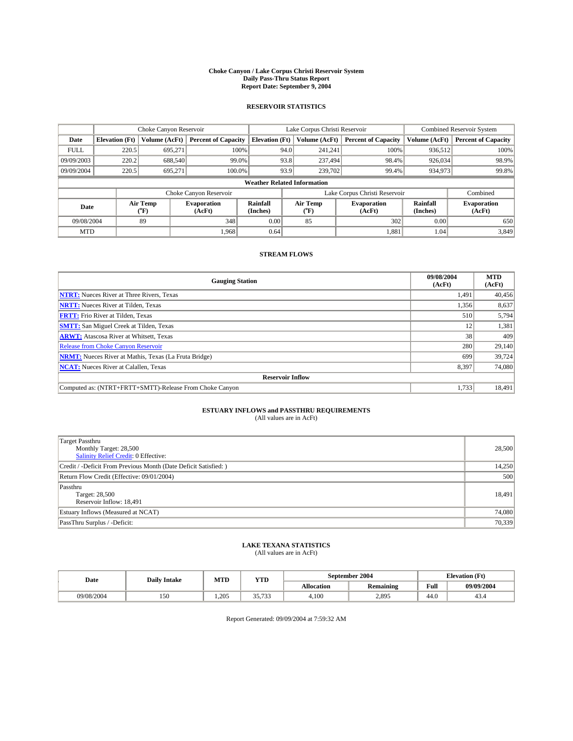#### **Choke Canyon / Lake Corpus Christi Reservoir System Daily Pass-Thru Status Report Report Date: September 9, 2004**

#### **RESERVOIR STATISTICS**

|             | Choke Canyon Reservoir             |                         | Lake Corpus Christi Reservoir |                       |      |                  | <b>Combined Reservoir System</b> |                             |                              |
|-------------|------------------------------------|-------------------------|-------------------------------|-----------------------|------|------------------|----------------------------------|-----------------------------|------------------------------|
| Date        | <b>Elevation</b> (Ft)              | Volume (AcFt)           | <b>Percent of Capacity</b>    | <b>Elevation</b> (Ft) |      | Volume (AcFt)    | <b>Percent of Capacity</b>       | Volume (AcFt)               | <b>Percent of Capacity</b>   |
| <b>FULL</b> | 220.5                              | 695,271                 | 100%                          |                       | 94.0 | 241,241          | 100%                             | 936.512                     | 100%                         |
| 09/09/2003  | 220.2                              | 688,540                 | 99.0%                         |                       | 93.8 | 237,494          | 98.4%                            | 926,034                     | 98.9%                        |
| 09/09/2004  | 220.5                              | 695.271                 | 100.0%                        |                       | 93.9 | 239,702          | 99.4%                            | 934,973                     | 99.8%                        |
|             | <b>Weather Related Information</b> |                         |                               |                       |      |                  |                                  |                             |                              |
|             |                                    |                         | Choke Canyon Reservoir        |                       |      |                  | Lake Corpus Christi Reservoir    |                             | Combined                     |
| Date        |                                    | <b>Air Temp</b><br>(°F) | <b>Evaporation</b><br>(AcFt)  | Rainfall<br>(Inches)  |      | Air Temp<br>("F) | <b>Evaporation</b><br>(AcFt)     | <b>Rainfall</b><br>(Inches) | <b>Evaporation</b><br>(AcFt) |
| 09/08/2004  |                                    | 89                      | 348                           | 0.00                  |      | 85               | 302                              | 0.00                        | 650                          |
| <b>MTD</b>  |                                    |                         | 1.968                         | 0.64                  |      |                  | 1,881                            | 1.04                        | 3,849                        |

### **STREAM FLOWS**

| <b>Gauging Station</b>                                       | 09/08/2004<br>(AcFt) | <b>MTD</b><br>(AcFt) |
|--------------------------------------------------------------|----------------------|----------------------|
| <b>NTRT:</b> Nueces River at Three Rivers, Texas             | 1,491                | 40,456               |
| <b>NRTT:</b> Nueces River at Tilden, Texas                   | 1,356                | 8,637                |
| <b>FRTT:</b> Frio River at Tilden, Texas                     | 510                  | 5,794                |
| <b>SMTT:</b> San Miguel Creek at Tilden, Texas               | 12                   | 1,381                |
| <b>ARWT:</b> Atascosa River at Whitsett, Texas               | 38 <sup>1</sup>      | 409                  |
| <b>Release from Choke Canyon Reservoir</b>                   | 280                  | 29,140               |
| <b>NRMT:</b> Nueces River at Mathis, Texas (La Fruta Bridge) | 699                  | 39,724               |
| <b>NCAT:</b> Nueces River at Calallen, Texas                 | 8,397                | 74,080               |
| <b>Reservoir Inflow</b>                                      |                      |                      |
| Computed as: (NTRT+FRTT+SMTT)-Release From Choke Canyon      | 1,733                | 18,491               |

## **ESTUARY INFLOWS and PASSTHRU REQUIREMENTS**<br>(All values are in AcFt)

| <b>Target Passthru</b><br>Monthly Target: 28,500<br>Salinity Relief Credit: 0 Effective: | 28,500 |
|------------------------------------------------------------------------------------------|--------|
| Credit / -Deficit From Previous Month (Date Deficit Satisfied: )                         | 14,250 |
| Return Flow Credit (Effective: 09/01/2004)                                               | 500    |
| Passthru<br>Target: 28,500<br>Reservoir Inflow: 18,491                                   | 18,491 |
| Estuary Inflows (Measured at NCAT)                                                       | 74,080 |
| PassThru Surplus / -Deficit:                                                             | 70,339 |

# **LAKE TEXANA STATISTICS** (All values are in AcFt)

| Date       | <b>Daily Intake</b> | MTD   | YTD                     |                   | September 2004   | <b>Elevation (Ft)</b> |            |
|------------|---------------------|-------|-------------------------|-------------------|------------------|-----------------------|------------|
|            |                     |       |                         | <b>Allocation</b> | <b>Remaining</b> | Full                  | 09/09/2004 |
| 09/08/2004 | 150                 | 1.205 | 25.722<br><i>JJ.IJJ</i> | 4.100             | 2,895            | 44.0                  | 45.4       |

Report Generated: 09/09/2004 at 7:59:32 AM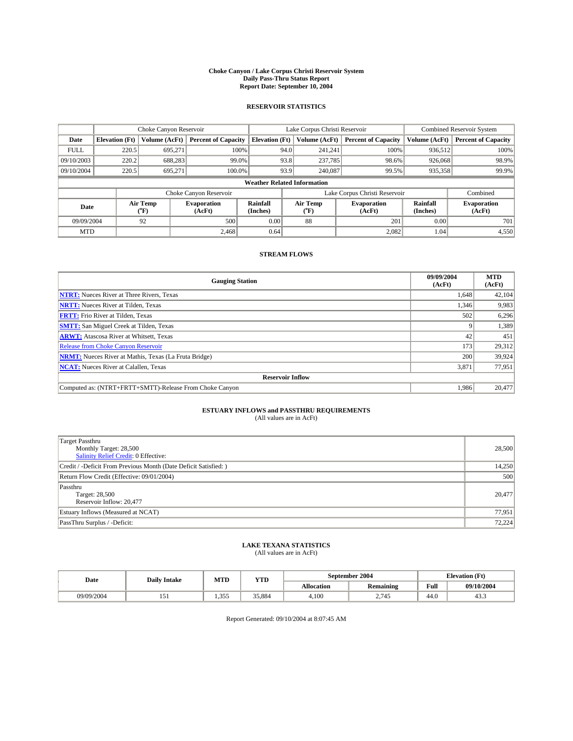#### **Choke Canyon / Lake Corpus Christi Reservoir System Daily Pass-Thru Status Report Report Date: September 10, 2004**

#### **RESERVOIR STATISTICS**

|             | Choke Canyon Reservoir             |                             |                              |                             | Lake Corpus Christi Reservoir |                  |                               |                             | Combined Reservoir System    |  |  |
|-------------|------------------------------------|-----------------------------|------------------------------|-----------------------------|-------------------------------|------------------|-------------------------------|-----------------------------|------------------------------|--|--|
| Date        | <b>Elevation</b> (Ft)              | Volume (AcFt)               | <b>Percent of Capacity</b>   | <b>Elevation</b> (Ft)       |                               | Volume (AcFt)    | <b>Percent of Capacity</b>    | Volume (AcFt)               | <b>Percent of Capacity</b>   |  |  |
| <b>FULL</b> | 220.5                              | 695,271                     | 100%                         |                             | 94.0                          | 241,241          | 100%                          | 936.512                     | 100%                         |  |  |
| 09/10/2003  | 220.2                              | 688,283                     | $99.0\%$                     |                             | 93.8                          | 237,785          | 98.6%                         | 926,068                     | 98.9%                        |  |  |
| 09/10/2004  | 220.5                              | 695.271                     | 100.0%                       |                             | 93.9                          | 240,087          | 99.5%                         | 935,358                     | 99.9%                        |  |  |
|             | <b>Weather Related Information</b> |                             |                              |                             |                               |                  |                               |                             |                              |  |  |
|             |                                    |                             | Choke Canyon Reservoir       |                             |                               |                  | Lake Corpus Christi Reservoir |                             | Combined                     |  |  |
| Date        |                                    | Air Temp<br>${}^{\circ}$ F) | <b>Evaporation</b><br>(AcFt) | <b>Rainfall</b><br>(Inches) |                               | Air Temp<br>("F) | <b>Evaporation</b><br>(AcFt)  | <b>Rainfall</b><br>(Inches) | <b>Evaporation</b><br>(AcFt) |  |  |
| 09/09/2004  |                                    | 92                          | 500                          | 0.00                        |                               | 88               | 201                           | 0.00                        | 701                          |  |  |
| <b>MTD</b>  |                                    |                             | 2,468                        | 0.64                        |                               |                  | 2,082                         | 1.04                        | 4,550                        |  |  |

### **STREAM FLOWS**

| <b>Gauging Station</b>                                       | 09/09/2004<br>(AcFt) | <b>MTD</b><br>(AcFt) |
|--------------------------------------------------------------|----------------------|----------------------|
| <b>NTRT:</b> Nueces River at Three Rivers, Texas             | 1,648                | 42,104               |
| <b>NRTT:</b> Nueces River at Tilden, Texas                   | 1,346                | 9,983                |
| <b>FRTT:</b> Frio River at Tilden, Texas                     | 502                  | 6,296                |
| <b>SMTT:</b> San Miguel Creek at Tilden, Texas               |                      | 1,389                |
| <b>ARWT:</b> Atascosa River at Whitsett, Texas               | 42                   | 451                  |
| <b>Release from Choke Canyon Reservoir</b>                   | 173                  | 29,312               |
| <b>NRMT:</b> Nueces River at Mathis, Texas (La Fruta Bridge) | 200                  | 39,924               |
| <b>NCAT:</b> Nueces River at Calallen, Texas                 | 3,871                | 77,951               |
| <b>Reservoir Inflow</b>                                      |                      |                      |
| Computed as: (NTRT+FRTT+SMTT)-Release From Choke Canyon      | 1,986                | 20,477               |

# **ESTUARY INFLOWS and PASSTHRU REQUIREMENTS**<br>(All values are in AcFt)

| <b>Target Passthru</b><br>Monthly Target: 28,500<br>Salinity Relief Credit: 0 Effective: | 28,500 |
|------------------------------------------------------------------------------------------|--------|
| Credit / -Deficit From Previous Month (Date Deficit Satisfied: )                         | 14,250 |
| Return Flow Credit (Effective: 09/01/2004)                                               | 500    |
| Passthru<br>Target: 28,500<br>Reservoir Inflow: 20,477                                   | 20,477 |
| Estuary Inflows (Measured at NCAT)                                                       | 77,951 |
| PassThru Surplus / -Deficit:                                                             | 72,224 |

# **LAKE TEXANA STATISTICS** (All values are in AcFt)

| Date       | <b>Daily Intake</b>             | MTD         | <b>YTD</b> |                   | September 2004   | <b>Elevation</b> (Ft) |                |
|------------|---------------------------------|-------------|------------|-------------------|------------------|-----------------------|----------------|
|            |                                 |             |            | <b>Allocation</b> | <b>Remaining</b> | Full                  | 09/10/2004     |
| 09/09/2004 | $\overline{\phantom{0}}$<br>1J1 | 355<br>1.JJ | 35,884     | 4.100             | 2.745            | 44.0                  | $\sim$<br>43.5 |

Report Generated: 09/10/2004 at 8:07:45 AM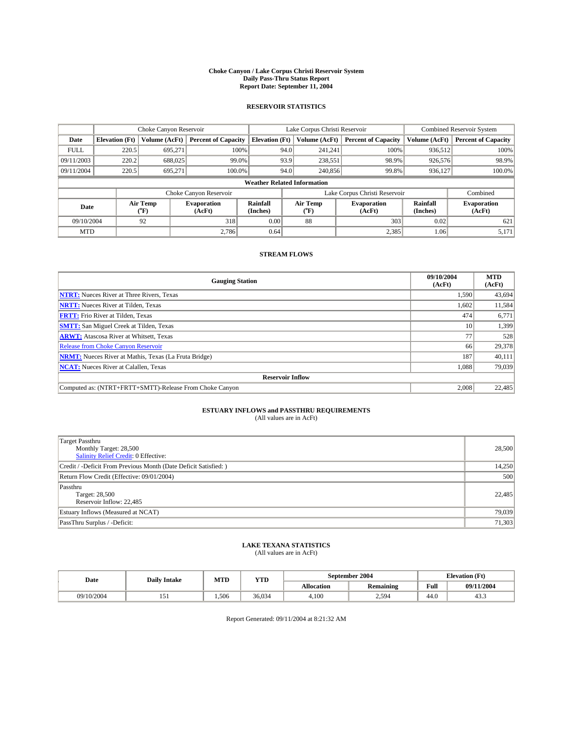#### **Choke Canyon / Lake Corpus Christi Reservoir System Daily Pass-Thru Status Report Report Date: September 11, 2004**

#### **RESERVOIR STATISTICS**

|             | Choke Canyon Reservoir             |                  | Lake Corpus Christi Reservoir |                       |      |                  | <b>Combined Reservoir System</b> |                      |                              |  |
|-------------|------------------------------------|------------------|-------------------------------|-----------------------|------|------------------|----------------------------------|----------------------|------------------------------|--|
| Date        | <b>Elevation</b> (Ft)              | Volume (AcFt)    | <b>Percent of Capacity</b>    | <b>Elevation (Ft)</b> |      | Volume (AcFt)    | <b>Percent of Capacity</b>       | Volume (AcFt)        | <b>Percent of Capacity</b>   |  |
| <b>FULL</b> | 220.5                              | 695,271          | 100%                          |                       | 94.0 | 241,241          | 100%                             | 936.512              | 100%                         |  |
| 09/11/2003  | 220.2                              | 688,025          | 99.0%                         |                       | 93.9 | 238,551          | 98.9%                            | 926,576              | 98.9%                        |  |
| 09/11/2004  | 220.5                              | 695.271          | 100.0%                        |                       | 94.0 | 240,856          | 99.8%                            | 936,127              | 100.0%                       |  |
|             | <b>Weather Related Information</b> |                  |                               |                       |      |                  |                                  |                      |                              |  |
|             |                                    |                  | Choke Canyon Reservoir        |                       |      |                  | Lake Corpus Christi Reservoir    |                      | Combined                     |  |
| Date        |                                    | Air Temp<br>(°F) | <b>Evaporation</b><br>(AcFt)  | Rainfall<br>(Inches)  |      | Air Temp<br>("F) | <b>Evaporation</b><br>(AcFt)     | Rainfall<br>(Inches) | <b>Evaporation</b><br>(AcFt) |  |
| 09/10/2004  |                                    | 92               | 318                           | 0.00                  |      | 88               | 303                              | 0.02                 | 621                          |  |
| <b>MTD</b>  |                                    |                  | 2.786                         | 0.64                  |      |                  | 2,385                            | 1.06                 | 5,171                        |  |

### **STREAM FLOWS**

| <b>Gauging Station</b>                                       | 09/10/2004<br>(AcFt) | <b>MTD</b><br>(AcFt) |
|--------------------------------------------------------------|----------------------|----------------------|
| <b>NTRT:</b> Nueces River at Three Rivers, Texas             | 1,590                | 43,694               |
| <b>NRTT:</b> Nueces River at Tilden, Texas                   | 1,602                | 11,584               |
| <b>FRTT:</b> Frio River at Tilden, Texas                     | 474                  | 6,771                |
| <b>SMTT:</b> San Miguel Creek at Tilden, Texas               | 10 <sup>1</sup>      | 1,399                |
| <b>ARWT:</b> Atascosa River at Whitsett, Texas               | 77                   | 528                  |
| <b>Release from Choke Canyon Reservoir</b>                   | 66                   | 29,378               |
| <b>NRMT:</b> Nueces River at Mathis, Texas (La Fruta Bridge) | 187                  | 40,111               |
| <b>NCAT:</b> Nueces River at Calallen, Texas                 | 1,088                | 79,039               |
| <b>Reservoir Inflow</b>                                      |                      |                      |
| Computed as: (NTRT+FRTT+SMTT)-Release From Choke Canyon      | 2,008                | 22,485               |

## **ESTUARY INFLOWS and PASSTHRU REQUIREMENTS**<br>(All values are in AcFt)

| <b>Target Passthru</b><br>Monthly Target: 28,500<br>Salinity Relief Credit: 0 Effective: | 28,500 |
|------------------------------------------------------------------------------------------|--------|
| Credit / -Deficit From Previous Month (Date Deficit Satisfied: )                         | 14,250 |
| Return Flow Credit (Effective: 09/01/2004)                                               | 500    |
| Passthru<br>Target: 28,500<br>Reservoir Inflow: 22,485                                   | 22,485 |
| Estuary Inflows (Measured at NCAT)                                                       | 79,039 |
| PassThru Surplus / -Deficit:                                                             | 71,303 |

# **LAKE TEXANA STATISTICS** (All values are in AcFt)

| Date       | <b>Daily Intake</b> | MTD   | YTD    |                   | September 2004   |      | <b>Elevation</b> (Ft) |
|------------|---------------------|-------|--------|-------------------|------------------|------|-----------------------|
|            |                     |       |        | <b>Allocation</b> | <b>Remaining</b> | Full | 09/11/2004            |
| 09/10/2004 | ، – ،<br>1 J 1      | 1.506 | 36,034 | 4.100             | 2,594            | 44.0 | 43.5                  |

Report Generated: 09/11/2004 at 8:21:32 AM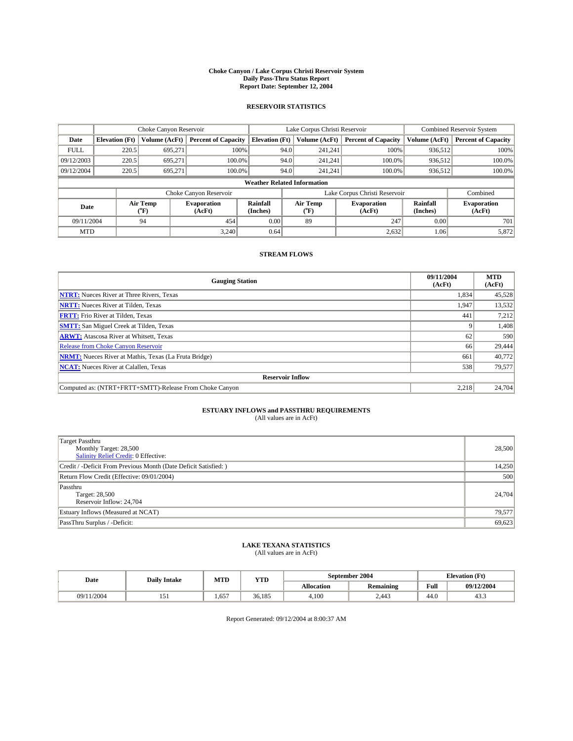#### **Choke Canyon / Lake Corpus Christi Reservoir System Daily Pass-Thru Status Report Report Date: September 12, 2004**

#### **RESERVOIR STATISTICS**

|             | Choke Canyon Reservoir             |                  | Lake Corpus Christi Reservoir |                       |      |                  | <b>Combined Reservoir System</b> |                      |                              |  |
|-------------|------------------------------------|------------------|-------------------------------|-----------------------|------|------------------|----------------------------------|----------------------|------------------------------|--|
| Date        | <b>Elevation</b> (Ft)              | Volume (AcFt)    | <b>Percent of Capacity</b>    | <b>Elevation (Ft)</b> |      | Volume (AcFt)    | <b>Percent of Capacity</b>       | Volume (AcFt)        | <b>Percent of Capacity</b>   |  |
| <b>FULL</b> | 220.5                              | 695,271          |                               | 100%                  | 94.0 | 241,241          | 100%                             | 936.512              | 100%                         |  |
| 09/12/2003  | 220.5                              | 695.271          | $100.0\%$                     |                       | 94.0 | 241.241          | $100.0\%$                        | 936.512              | 100.0%                       |  |
| 09/12/2004  | 220.5                              | 695.271          | 100.0%                        |                       | 94.0 | 241,241          | $100.0\%$                        | 936,512              | 100.0%                       |  |
|             | <b>Weather Related Information</b> |                  |                               |                       |      |                  |                                  |                      |                              |  |
|             |                                    |                  | Choke Canyon Reservoir        |                       |      |                  | Lake Corpus Christi Reservoir    |                      | Combined                     |  |
| Date        |                                    | Air Temp<br>(°F) | <b>Evaporation</b><br>(AcFt)  | Rainfall<br>(Inches)  |      | Air Temp<br>("F) | <b>Evaporation</b><br>(AcFt)     | Rainfall<br>(Inches) | <b>Evaporation</b><br>(AcFt) |  |
| 09/11/2004  |                                    | 94               | 454                           | 0.00                  |      | 89               | 247                              | 0.00                 | 701                          |  |
| <b>MTD</b>  |                                    |                  | 3.240                         | 0.64                  |      |                  | 2,632                            | 1.06                 | 5,872                        |  |

### **STREAM FLOWS**

| <b>Gauging Station</b>                                       | 09/11/2004<br>(AcFt) | <b>MTD</b><br>(AcFt) |
|--------------------------------------------------------------|----------------------|----------------------|
| <b>NTRT:</b> Nueces River at Three Rivers, Texas             | 1,834                | 45,528               |
| <b>NRTT:</b> Nueces River at Tilden, Texas                   | 1,947                | 13,532               |
| <b>FRTT:</b> Frio River at Tilden, Texas                     | 441                  | 7,212                |
| <b>SMTT:</b> San Miguel Creek at Tilden, Texas               |                      | 1,408                |
| <b>ARWT:</b> Atascosa River at Whitsett, Texas               | 62                   | 590                  |
| <b>Release from Choke Canyon Reservoir</b>                   | 66                   | 29,444               |
| <b>NRMT:</b> Nueces River at Mathis, Texas (La Fruta Bridge) | 661                  | 40.772               |
| <b>NCAT:</b> Nueces River at Calallen, Texas                 | 538                  | 79,577               |
| <b>Reservoir Inflow</b>                                      |                      |                      |
| Computed as: (NTRT+FRTT+SMTT)-Release From Choke Canyon      | 2.218                | 24,704               |

# **ESTUARY INFLOWS and PASSTHRU REQUIREMENTS**<br>(All values are in AcFt)

| <b>Target Passthru</b><br>Monthly Target: 28,500<br>Salinity Relief Credit: 0 Effective: | 28,500 |
|------------------------------------------------------------------------------------------|--------|
| Credit / -Deficit From Previous Month (Date Deficit Satisfied: )                         | 14,250 |
| Return Flow Credit (Effective: 09/01/2004)                                               | 500    |
| Passthru<br>Target: 28,500<br>Reservoir Inflow: 24,704                                   | 24,704 |
| Estuary Inflows (Measured at NCAT)                                                       | 79,577 |
| PassThru Surplus / -Deficit:                                                             | 69,623 |

# **LAKE TEXANA STATISTICS** (All values are in AcFt)

| Date            | <b>Daily Intake</b>               | MTD | <b>YTD</b> |                   | September 2004   | <b>Elevation</b> (Ft) |            |
|-----------------|-----------------------------------|-----|------------|-------------------|------------------|-----------------------|------------|
|                 |                                   |     |            | <b>Allocation</b> | <b>Remaining</b> | Full                  | 09/12/2004 |
| (11/2004<br>09/ | $\overline{\phantom{a}}$<br>1 J 1 | 657 | 36.185     | 4.100             | 2.443            | 44.0                  | د.43       |

Report Generated: 09/12/2004 at 8:00:37 AM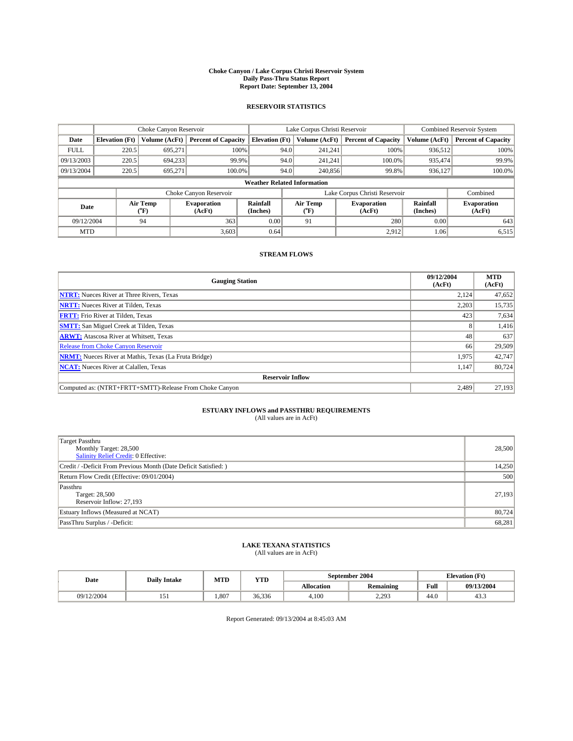#### **Choke Canyon / Lake Corpus Christi Reservoir System Daily Pass-Thru Status Report Report Date: September 13, 2004**

#### **RESERVOIR STATISTICS**

|             | Choke Canyon Reservoir             |                  | Lake Corpus Christi Reservoir |                       |      |                  | <b>Combined Reservoir System</b> |                      |                              |  |
|-------------|------------------------------------|------------------|-------------------------------|-----------------------|------|------------------|----------------------------------|----------------------|------------------------------|--|
| Date        | <b>Elevation</b> (Ft)              | Volume (AcFt)    | <b>Percent of Capacity</b>    | <b>Elevation (Ft)</b> |      | Volume (AcFt)    | <b>Percent of Capacity</b>       | Volume (AcFt)        | <b>Percent of Capacity</b>   |  |
| <b>FULL</b> | 220.5                              | 695,271          |                               | 100%                  | 94.0 | 241,241          | 100%                             | 936.512              | 100%                         |  |
| 09/13/2003  | 220.5                              | 694.233          | 99.9%                         |                       | 94.0 | 241.241          | $100.0\%$                        | 935.474              | 99.9%                        |  |
| 09/13/2004  | 220.5                              | 695.271          | 100.0%                        |                       | 94.0 | 240,856          | 99.8%                            | 936,127              | 100.0%                       |  |
|             | <b>Weather Related Information</b> |                  |                               |                       |      |                  |                                  |                      |                              |  |
|             |                                    |                  | Choke Canyon Reservoir        |                       |      |                  | Lake Corpus Christi Reservoir    |                      | Combined                     |  |
| Date        |                                    | Air Temp<br>(°F) | <b>Evaporation</b><br>(AcFt)  | Rainfall<br>(Inches)  |      | Air Temp<br>("F) | <b>Evaporation</b><br>(AcFt)     | Rainfall<br>(Inches) | <b>Evaporation</b><br>(AcFt) |  |
| 09/12/2004  |                                    | 94               | 363                           | 0.00                  |      | 91               | 280                              | 0.00                 | 643                          |  |
| <b>MTD</b>  |                                    |                  | 3,603                         | 0.64                  |      |                  | 2,912                            | 1.06                 | 6,515                        |  |

### **STREAM FLOWS**

| <b>Gauging Station</b>                                       | 09/12/2004<br>(AcFt) | <b>MTD</b><br>(AcFt) |
|--------------------------------------------------------------|----------------------|----------------------|
| <b>NTRT:</b> Nueces River at Three Rivers, Texas             | 2,124                | 47,652               |
| <b>NRTT:</b> Nueces River at Tilden, Texas                   | 2.203                | 15,735               |
| <b>FRTT:</b> Frio River at Tilden, Texas                     | 423                  | 7,634                |
| <b>SMTT:</b> San Miguel Creek at Tilden, Texas               | $\Delta$             | 1,416                |
| <b>ARWT:</b> Atascosa River at Whitsett, Texas               | 48                   | 637                  |
| <b>Release from Choke Canyon Reservoir</b>                   | 66                   | 29,509               |
| <b>NRMT:</b> Nueces River at Mathis, Texas (La Fruta Bridge) | 1,975                | 42,747               |
| <b>NCAT:</b> Nueces River at Calallen, Texas                 | 1,147                | 80,724               |
| <b>Reservoir Inflow</b>                                      |                      |                      |
| Computed as: (NTRT+FRTT+SMTT)-Release From Choke Canyon      | 2.489                | 27,193               |

## **ESTUARY INFLOWS and PASSTHRU REQUIREMENTS**<br>(All values are in AcFt)

| <b>Target Passthru</b><br>Monthly Target: 28,500<br>Salinity Relief Credit: 0 Effective: | 28,500 |
|------------------------------------------------------------------------------------------|--------|
| Credit / -Deficit From Previous Month (Date Deficit Satisfied: )                         | 14,250 |
| Return Flow Credit (Effective: 09/01/2004)                                               | 500    |
| Passthru<br>Target: 28,500<br>Reservoir Inflow: 27,193                                   | 27,193 |
| Estuary Inflows (Measured at NCAT)                                                       | 80,724 |
| PassThru Surplus / -Deficit:                                                             | 68,281 |

## **LAKE TEXANA STATISTICS** (All values are in AcFt)

| Date       | <b>Daily Intake</b> | MTD  | YTD    |                   | September 2004               | <b>Elevation</b> (Ft) |                |
|------------|---------------------|------|--------|-------------------|------------------------------|-----------------------|----------------|
|            |                     |      |        | <b>Allocation</b> | $\cdots$<br><b>Remaining</b> | Full                  | 09/13/2004     |
| 09/12/2004 | 1 J 1               | .807 | 36.336 | 4,100             | 2.202<br>ر رے دے             | . .<br>44.U           | $\sim$<br>45.5 |

Report Generated: 09/13/2004 at 8:45:03 AM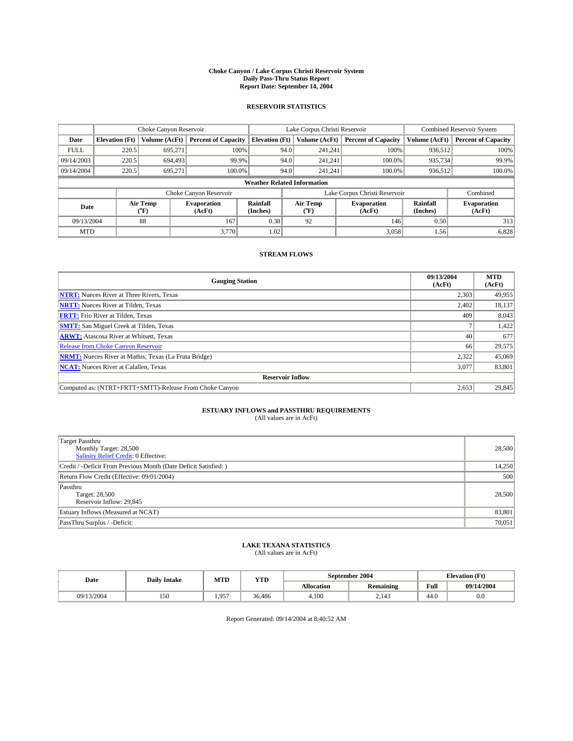#### **Choke Canyon / Lake Corpus Christi Reservoir System Daily Pass-Thru Status Report Report Date: September 14, 2004**

#### **RESERVOIR STATISTICS**

|             | Choke Canyon Reservoir             |                  | Lake Corpus Christi Reservoir |                       |      |                  | <b>Combined Reservoir System</b> |                      |                              |  |
|-------------|------------------------------------|------------------|-------------------------------|-----------------------|------|------------------|----------------------------------|----------------------|------------------------------|--|
| Date        | <b>Elevation</b> (Ft)              | Volume (AcFt)    | <b>Percent of Capacity</b>    | <b>Elevation (Ft)</b> |      | Volume (AcFt)    | <b>Percent of Capacity</b>       | Volume (AcFt)        | <b>Percent of Capacity</b>   |  |
| <b>FULL</b> | 220.5                              | 695,271          | 100%                          |                       | 94.0 | 241,241          | 100%                             | 936.512              | 100%                         |  |
| 09/14/2003  | 220.5                              | 694.493          | 99.9%                         |                       | 94.0 | 241.241          | $100.0\%$                        | 935,734              | 99.9%                        |  |
| 09/14/2004  | 220.5                              | 695.271          | 100.0%                        |                       | 94.0 | 241,241          | $100.0\%$                        | 936,512              | 100.0%                       |  |
|             | <b>Weather Related Information</b> |                  |                               |                       |      |                  |                                  |                      |                              |  |
|             |                                    |                  | Choke Canyon Reservoir        |                       |      |                  | Lake Corpus Christi Reservoir    |                      | Combined                     |  |
| Date        |                                    | Air Temp<br>(°F) | <b>Evaporation</b><br>(AcFt)  | Rainfall<br>(Inches)  |      | Air Temp<br>("F) | <b>Evaporation</b><br>(AcFt)     | Rainfall<br>(Inches) | <b>Evaporation</b><br>(AcFt) |  |
| 09/13/2004  |                                    | 88               | 167                           | 0.38                  |      | 92               | 146                              | 0.50                 | 313                          |  |
| <b>MTD</b>  |                                    |                  | 3,770                         | 1.02                  |      |                  | 3,058                            | 1.56                 | 6,828                        |  |

### **STREAM FLOWS**

| <b>Gauging Station</b>                                       | 09/13/2004<br>(AcFt) | <b>MTD</b><br>(AcFt) |
|--------------------------------------------------------------|----------------------|----------------------|
| <b>NTRT:</b> Nueces River at Three Rivers, Texas             | 2,303                | 49,955               |
| <b>NRTT:</b> Nueces River at Tilden, Texas                   | 2,402                | 18,137               |
| <b>FRTT:</b> Frio River at Tilden, Texas                     | 409                  | 8,043                |
| <b>SMTT:</b> San Miguel Creek at Tilden, Texas               |                      | 1,422                |
| <b>ARWT:</b> Atascosa River at Whitsett, Texas               | 40                   | 677                  |
| Release from Choke Canyon Reservoir                          | 66                   | 29,575               |
| <b>NRMT:</b> Nueces River at Mathis, Texas (La Fruta Bridge) | 2.322                | 45,069               |
| <b>NCAT:</b> Nueces River at Calallen, Texas                 | 3,077                | 83,801               |
| <b>Reservoir Inflow</b>                                      |                      |                      |
| Computed as: (NTRT+FRTT+SMTT)-Release From Choke Canyon      | 2,653                | 29,845               |

# **ESTUARY INFLOWS and PASSTHRU REQUIREMENTS**<br>(All values are in AcFt)

| <b>Target Passthru</b><br>Monthly Target: 28,500<br>Salinity Relief Credit: 0 Effective: | 28,500 |
|------------------------------------------------------------------------------------------|--------|
| Credit / -Deficit From Previous Month (Date Deficit Satisfied: )                         | 14,250 |
| Return Flow Credit (Effective: 09/01/2004)                                               | 500    |
| Passthru<br>Target: 28,500<br>Reservoir Inflow: 29,845                                   | 28,500 |
| Estuary Inflows (Measured at NCAT)                                                       | 83,801 |
| PassThru Surplus / -Deficit:                                                             | 70,051 |

# **LAKE TEXANA STATISTICS** (All values are in AcFt)

| Date            | <b>Daily Intake</b> | MTD     | YTD    |                   | September 2004 | <b>Elevation</b> (Ft) |            |
|-----------------|---------------------|---------|--------|-------------------|----------------|-----------------------|------------|
|                 |                     |         |        | <b>Allocation</b> | Remaining      | Full                  | 09/14/2004 |
| /13/2004<br>09/ | 150                 | 957<br> | 36.486 | 4.100             | <br>2.143      | 44.0                  | $_{0.0}$   |

Report Generated: 09/14/2004 at 8:40:52 AM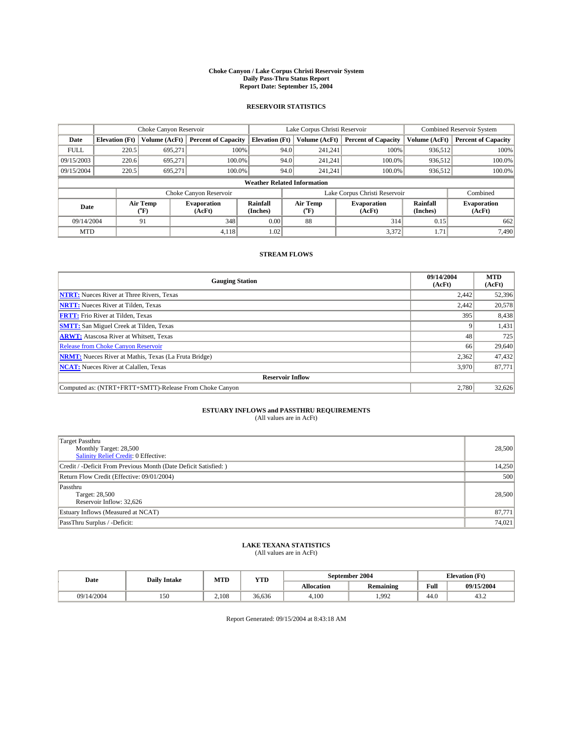#### **Choke Canyon / Lake Corpus Christi Reservoir System Daily Pass-Thru Status Report Report Date: September 15, 2004**

#### **RESERVOIR STATISTICS**

|             | Choke Canyon Reservoir             |                  | Lake Corpus Christi Reservoir |                       |      |                  | <b>Combined Reservoir System</b> |                      |                              |  |
|-------------|------------------------------------|------------------|-------------------------------|-----------------------|------|------------------|----------------------------------|----------------------|------------------------------|--|
| Date        | <b>Elevation</b> (Ft)              | Volume (AcFt)    | <b>Percent of Capacity</b>    | <b>Elevation (Ft)</b> |      | Volume (AcFt)    | <b>Percent of Capacity</b>       | Volume (AcFt)        | <b>Percent of Capacity</b>   |  |
| <b>FULL</b> | 220.5                              | 695,271          |                               | 100%                  | 94.0 | 241,241          | 100%                             | 936.512              | 100%                         |  |
| 09/15/2003  | 220.6                              | 695.271          | $100.0\%$                     |                       | 94.0 | 241.241          | $100.0\%$                        | 936.512              | 100.0%                       |  |
| 09/15/2004  | 220.5                              | 695.271          | 100.0%                        |                       | 94.0 | 241,241          | $100.0\%$                        | 936,512              | 100.0%                       |  |
|             | <b>Weather Related Information</b> |                  |                               |                       |      |                  |                                  |                      |                              |  |
|             |                                    |                  | Choke Canyon Reservoir        |                       |      |                  | Lake Corpus Christi Reservoir    |                      | Combined                     |  |
| Date        |                                    | Air Temp<br>(°F) | <b>Evaporation</b><br>(AcFt)  | Rainfall<br>(Inches)  |      | Air Temp<br>("F) | <b>Evaporation</b><br>(AcFt)     | Rainfall<br>(Inches) | <b>Evaporation</b><br>(AcFt) |  |
| 09/14/2004  |                                    | 91               | 348                           | 0.00                  |      | 88               | 314                              | 0.15                 | 662                          |  |
| <b>MTD</b>  |                                    |                  | 4,118                         | 1.02                  |      |                  | 3,372                            | 1.71                 | 7,490                        |  |

### **STREAM FLOWS**

| <b>Gauging Station</b>                                       | 09/14/2004<br>(AcFt) | <b>MTD</b><br>(AcFt) |
|--------------------------------------------------------------|----------------------|----------------------|
| <b>NTRT:</b> Nueces River at Three Rivers, Texas             | 2,442                | 52,396               |
| <b>NRTT:</b> Nueces River at Tilden, Texas                   | 2,442                | 20,578               |
| <b>FRTT:</b> Frio River at Tilden, Texas                     | 395                  | 8,438                |
| <b>SMTT:</b> San Miguel Creek at Tilden, Texas               |                      | 1,431                |
| <b>ARWT:</b> Atascosa River at Whitsett, Texas               | 48                   | 725                  |
| Release from Choke Canyon Reservoir                          | 66                   | 29,640               |
| <b>NRMT:</b> Nueces River at Mathis, Texas (La Fruta Bridge) | 2,362                | 47,432               |
| <b>NCAT:</b> Nueces River at Calallen, Texas                 | 3,970                | 87,771               |
| <b>Reservoir Inflow</b>                                      |                      |                      |
| Computed as: (NTRT+FRTT+SMTT)-Release From Choke Canyon      | 2.780                | 32,626               |

## **ESTUARY INFLOWS and PASSTHRU REQUIREMENTS**<br>(All values are in AcFt)

| <b>Target Passthru</b><br>Monthly Target: 28,500<br>Salinity Relief Credit: 0 Effective: | 28,500 |
|------------------------------------------------------------------------------------------|--------|
| Credit / -Deficit From Previous Month (Date Deficit Satisfied: )                         | 14,250 |
| Return Flow Credit (Effective: 09/01/2004)                                               | 500    |
| Passthru<br>Target: 28,500<br>Reservoir Inflow: 32,626                                   | 28,500 |
| Estuary Inflows (Measured at NCAT)                                                       | 87,771 |
| PassThru Surplus / -Deficit:                                                             | 74,021 |

# **LAKE TEXANA STATISTICS** (All values are in AcFt)

| Date       | <b>Daily Intake</b> | MTD   | YTD    |                   | September 2004 | <b>Elevation</b> (Ft) |            |
|------------|---------------------|-------|--------|-------------------|----------------|-----------------------|------------|
|            |                     |       |        | <b>Allocation</b> | Remaining      | Full                  | 09/15/2004 |
| 09/14/2004 | 150                 | 2.108 | 36.636 | 4.100             | 1,992          | 44.0                  | 43.2       |

Report Generated: 09/15/2004 at 8:43:18 AM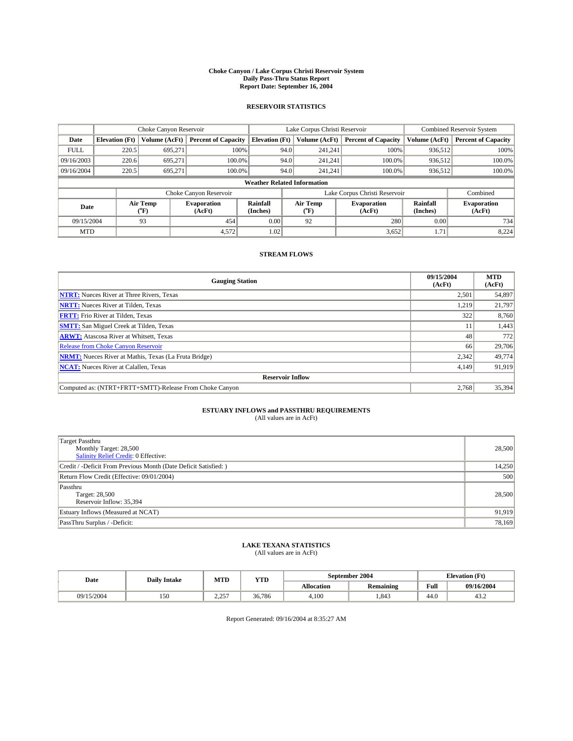#### **Choke Canyon / Lake Corpus Christi Reservoir System Daily Pass-Thru Status Report Report Date: September 16, 2004**

#### **RESERVOIR STATISTICS**

|                                    | Choke Canyon Reservoir |                  | Lake Corpus Christi Reservoir |                       |      |                  | <b>Combined Reservoir System</b> |                      |                              |
|------------------------------------|------------------------|------------------|-------------------------------|-----------------------|------|------------------|----------------------------------|----------------------|------------------------------|
| Date                               | <b>Elevation</b> (Ft)  | Volume (AcFt)    | <b>Percent of Capacity</b>    | <b>Elevation (Ft)</b> |      | Volume (AcFt)    | <b>Percent of Capacity</b>       | Volume (AcFt)        | <b>Percent of Capacity</b>   |
| <b>FULL</b>                        | 220.5                  | 695,271          |                               | 100%                  | 94.0 | 241,241          | 100%                             | 936.512              | 100%                         |
| 09/16/2003                         | 220.6                  | 695.271          | $100.0\%$                     |                       | 94.0 | 241.241          | $100.0\%$                        | 936.512              | 100.0%                       |
| 09/16/2004                         | 220.5                  | 695.271          | 100.0%                        |                       | 94.0 | 241,241          | $100.0\%$                        | 936,512              | 100.0%                       |
| <b>Weather Related Information</b> |                        |                  |                               |                       |      |                  |                                  |                      |                              |
|                                    |                        |                  | Choke Canyon Reservoir        |                       |      |                  | Lake Corpus Christi Reservoir    |                      | Combined                     |
| Date                               |                        | Air Temp<br>(°F) | <b>Evaporation</b><br>(AcFt)  | Rainfall<br>(Inches)  |      | Air Temp<br>("F) | <b>Evaporation</b><br>(AcFt)     | Rainfall<br>(Inches) | <b>Evaporation</b><br>(AcFt) |
| 09/15/2004                         |                        | 93               | 454                           | 0.00                  |      | 92               | 280                              | 0.00                 | 734                          |
| <b>MTD</b>                         |                        |                  | 4,572                         | 1.02                  |      |                  | 3,652                            | 1.71                 | 8,224                        |

### **STREAM FLOWS**

| <b>Gauging Station</b>                                       | 09/15/2004<br>(AcFt) | <b>MTD</b><br>(AcFt) |
|--------------------------------------------------------------|----------------------|----------------------|
| <b>NTRT:</b> Nueces River at Three Rivers, Texas             | 2,501                | 54,897               |
| <b>NRTT:</b> Nueces River at Tilden, Texas                   | 1.219                | 21,797               |
| <b>FRTT:</b> Frio River at Tilden, Texas                     | 322                  | 8,760                |
| <b>SMTT:</b> San Miguel Creek at Tilden, Texas               | 11                   | 1,443                |
| <b>ARWT:</b> Atascosa River at Whitsett, Texas               | 48                   | 772                  |
| <b>Release from Choke Canyon Reservoir</b>                   | 66                   | 29,706               |
| <b>NRMT:</b> Nueces River at Mathis, Texas (La Fruta Bridge) | 2,342                | 49,774               |
| <b>NCAT:</b> Nueces River at Calallen, Texas                 | 4,149                | 91,919               |
| <b>Reservoir Inflow</b>                                      |                      |                      |
| Computed as: (NTRT+FRTT+SMTT)-Release From Choke Canyon      | 2.768                | 35,394               |

# **ESTUARY INFLOWS and PASSTHRU REQUIREMENTS**<br>(All values are in AcFt)

| <b>Target Passthru</b><br>Monthly Target: 28,500<br>Salinity Relief Credit: 0 Effective: | 28,500 |
|------------------------------------------------------------------------------------------|--------|
| Credit / -Deficit From Previous Month (Date Deficit Satisfied: )                         | 14,250 |
| Return Flow Credit (Effective: 09/01/2004)                                               | 500    |
| Passthru<br>Target: 28,500<br>Reservoir Inflow: 35,394                                   | 28,500 |
| Estuary Inflows (Measured at NCAT)                                                       | 91,919 |
| PassThru Surplus / -Deficit:                                                             | 78,169 |

# **LAKE TEXANA STATISTICS** (All values are in AcFt)

| Date       | <b>Daily Intake</b> | MTD          | <b>YTD</b> | September 2004    |                  | <b>Elevation</b> (Ft) |                        |
|------------|---------------------|--------------|------------|-------------------|------------------|-----------------------|------------------------|
|            |                     |              |            | <b>Allocation</b> | <b>Remaining</b> | Full                  | 09/16/2004             |
| 09/15/2004 | ی - ۱<br>1 J V      | , 257<br>سدم | 36.786     | 4.100             | 1.843            | 44.0                  | $\sim$<br>43. $\angle$ |

Report Generated: 09/16/2004 at 8:35:27 AM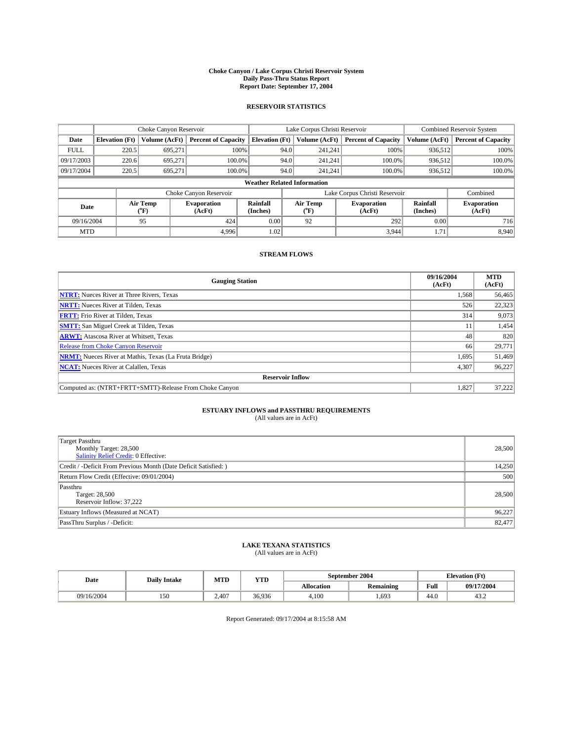#### **Choke Canyon / Lake Corpus Christi Reservoir System Daily Pass-Thru Status Report Report Date: September 17, 2004**

#### **RESERVOIR STATISTICS**

|                                    | Choke Canyon Reservoir |                  | Lake Corpus Christi Reservoir |                       |      |                  | <b>Combined Reservoir System</b> |                      |                              |
|------------------------------------|------------------------|------------------|-------------------------------|-----------------------|------|------------------|----------------------------------|----------------------|------------------------------|
| Date                               | <b>Elevation</b> (Ft)  | Volume (AcFt)    | <b>Percent of Capacity</b>    | <b>Elevation (Ft)</b> |      | Volume (AcFt)    | <b>Percent of Capacity</b>       | Volume (AcFt)        | <b>Percent of Capacity</b>   |
| <b>FULL</b>                        | 220.5                  | 695,271          |                               | 100%                  | 94.0 | 241,241          | 100%                             | 936.512              | 100%                         |
| 09/17/2003                         | 220.6                  | 695.271          | $100.0\%$                     |                       | 94.0 | 241.241          | $100.0\%$                        | 936.512              | 100.0%                       |
| 09/17/2004                         | 220.5                  | 695.271          | 100.0%                        |                       | 94.0 | 241,241          | $100.0\%$                        | 936,512              | 100.0%                       |
| <b>Weather Related Information</b> |                        |                  |                               |                       |      |                  |                                  |                      |                              |
|                                    |                        |                  | Choke Canyon Reservoir        |                       |      |                  | Lake Corpus Christi Reservoir    |                      | Combined                     |
| Date                               |                        | Air Temp<br>(°F) | <b>Evaporation</b><br>(AcFt)  | Rainfall<br>(Inches)  |      | Air Temp<br>("F) | <b>Evaporation</b><br>(AcFt)     | Rainfall<br>(Inches) | <b>Evaporation</b><br>(AcFt) |
| 09/16/2004                         |                        | 95               | 424                           | 0.00                  |      | 92               | 292                              | 0.00                 | 716                          |
| <b>MTD</b>                         |                        |                  | 4.996                         | 1.02                  |      |                  | 3,944                            | 1.71                 | 8,940                        |

### **STREAM FLOWS**

| <b>Gauging Station</b>                                       | 09/16/2004<br>(AcFt) | <b>MTD</b><br>(AcFt) |
|--------------------------------------------------------------|----------------------|----------------------|
| <b>NTRT:</b> Nueces River at Three Rivers, Texas             | 1,568                | 56,465               |
| <b>NRTT:</b> Nueces River at Tilden, Texas                   | 526                  | 22.323               |
| <b>FRTT:</b> Frio River at Tilden, Texas                     | 314                  | 9,073                |
| <b>SMTT:</b> San Miguel Creek at Tilden, Texas               | 11                   | 1,454                |
| <b>ARWT:</b> Atascosa River at Whitsett, Texas               | 48                   | 820                  |
| <b>Release from Choke Canyon Reservoir</b>                   | 66                   | 29,771               |
| <b>NRMT:</b> Nueces River at Mathis, Texas (La Fruta Bridge) | 1,695                | 51,469               |
| <b>NCAT:</b> Nueces River at Calallen, Texas                 | 4,307                | 96,227               |
| <b>Reservoir Inflow</b>                                      |                      |                      |
| Computed as: (NTRT+FRTT+SMTT)-Release From Choke Canyon      | 1,827                | 37,222               |

## **ESTUARY INFLOWS and PASSTHRU REQUIREMENTS**<br>(All values are in AcFt)

| <b>Target Passthru</b><br>Monthly Target: 28,500<br>Salinity Relief Credit: 0 Effective: | 28,500 |
|------------------------------------------------------------------------------------------|--------|
| Credit / -Deficit From Previous Month (Date Deficit Satisfied: )                         | 14,250 |
| Return Flow Credit (Effective: 09/01/2004)                                               | 500    |
| Passthru<br>Target: 28,500<br>Reservoir Inflow: 37,222                                   | 28,500 |
| Estuary Inflows (Measured at NCAT)                                                       | 96,227 |
| PassThru Surplus / -Deficit:                                                             | 82,477 |

# **LAKE TEXANA STATISTICS** (All values are in AcFt)

| Date       | <b>Daily Intake</b> | MTD   | <b>YTD</b> |                   | September 2004   | <b>Elevation</b> (Ft) |            |
|------------|---------------------|-------|------------|-------------------|------------------|-----------------------|------------|
|            |                     |       |            | <b>Allocation</b> | <b>Remaining</b> | Full                  | 09/17/2004 |
| 09/16/2004 | 150                 | 2.407 | 36,936     | 4.100             | ,693             | 44.U                  | 43.2       |

Report Generated: 09/17/2004 at 8:15:58 AM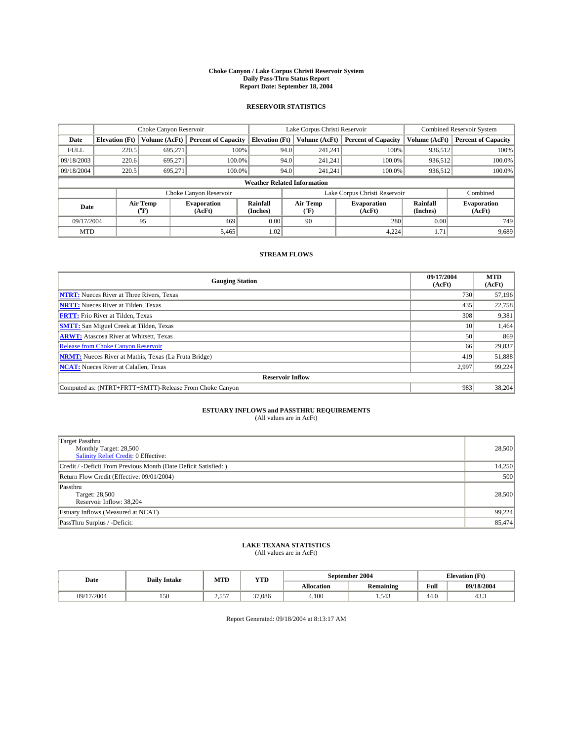#### **Choke Canyon / Lake Corpus Christi Reservoir System Daily Pass-Thru Status Report Report Date: September 18, 2004**

#### **RESERVOIR STATISTICS**

|                                    | Choke Canyon Reservoir |                  | Lake Corpus Christi Reservoir |                             |      |                  | Combined Reservoir System     |                      |                              |
|------------------------------------|------------------------|------------------|-------------------------------|-----------------------------|------|------------------|-------------------------------|----------------------|------------------------------|
| Date                               | <b>Elevation</b> (Ft)  | Volume (AcFt)    | <b>Percent of Capacity</b>    | <b>Elevation</b> (Ft)       |      | Volume (AcFt)    | <b>Percent of Capacity</b>    | Volume (AcFt)        | <b>Percent of Capacity</b>   |
| <b>FULL</b>                        | 220.5                  | 695,271          |                               | 100%                        | 94.0 | 241,241          | 100%                          | 936.512              | 100%                         |
| 09/18/2003                         | 220.6                  | 695.271          | $100.0\%$                     |                             | 94.0 | 241.241          | $100.0\%$                     | 936.512              | 100.0%                       |
| 09/18/2004                         | 220.5                  | 695.271          | 100.0%                        |                             | 94.0 | 241.241          | $100.0\%$                     | 936,512              | 100.0%                       |
| <b>Weather Related Information</b> |                        |                  |                               |                             |      |                  |                               |                      |                              |
|                                    |                        |                  | Choke Canyon Reservoir        |                             |      |                  | Lake Corpus Christi Reservoir |                      | Combined                     |
| Date                               |                        | Air Temp<br>(°F) | <b>Evaporation</b><br>(AcFt)  | <b>Rainfall</b><br>(Inches) |      | Air Temp<br>("F) | <b>Evaporation</b><br>(AcFt)  | Rainfall<br>(Inches) | <b>Evaporation</b><br>(AcFt) |
| 09/17/2004                         |                        | 95               | 469                           | 0.00                        |      | 90               | 280                           | 0.00                 | 749                          |
| <b>MTD</b>                         |                        |                  | 5,465                         | 1.02                        |      |                  | 4.224                         | 1.71                 | 9,689                        |

### **STREAM FLOWS**

| <b>Gauging Station</b>                                       | 09/17/2004<br>(AcFt) | <b>MTD</b><br>(AcFt) |
|--------------------------------------------------------------|----------------------|----------------------|
| <b>NTRT:</b> Nueces River at Three Rivers, Texas             | 730                  | 57,196               |
| <b>NRTT:</b> Nueces River at Tilden, Texas                   | 435                  | 22.758               |
| <b>FRTT:</b> Frio River at Tilden, Texas                     | 308                  | 9,381                |
| <b>SMTT:</b> San Miguel Creek at Tilden, Texas               | 10                   | 1,464                |
| <b>ARWT:</b> Atascosa River at Whitsett, Texas               | 50                   | 869                  |
| <b>Release from Choke Canyon Reservoir</b>                   | 66                   | 29,837               |
| <b>NRMT:</b> Nueces River at Mathis, Texas (La Fruta Bridge) | 419                  | 51,888               |
| <b>NCAT:</b> Nueces River at Calallen, Texas                 | 2,997                | 99,224               |
| <b>Reservoir Inflow</b>                                      |                      |                      |
| Computed as: (NTRT+FRTT+SMTT)-Release From Choke Canyon      | 983                  | 38,204               |

# **ESTUARY INFLOWS and PASSTHRU REQUIREMENTS**<br>(All values are in AcFt)

| <b>Target Passthru</b><br>Monthly Target: 28,500<br>Salinity Relief Credit: 0 Effective: | 28,500 |
|------------------------------------------------------------------------------------------|--------|
| Credit / -Deficit From Previous Month (Date Deficit Satisfied: )                         | 14,250 |
| Return Flow Credit (Effective: 09/01/2004)                                               | 500    |
| Passthru<br>Target: 28,500<br>Reservoir Inflow: 38,204                                   | 28,500 |
| Estuary Inflows (Measured at NCAT)                                                       | 99,224 |
| PassThru Surplus / -Deficit:                                                             | 85,474 |

# **LAKE TEXANA STATISTICS** (All values are in AcFt)

| Date       | <b>Daily Intake</b> | MTD   | <b>YTD</b> |                   | September 2004   | <b>Elevation</b> (Ft) |                |
|------------|---------------------|-------|------------|-------------------|------------------|-----------------------|----------------|
|            |                     |       |            | <b>Allocation</b> | <b>Remaining</b> | Full                  | 09/18/2004     |
| 09/17/2004 | 150                 | 2.557 | 37.086     | 4.100             | . 54?<br>1.JTJ   | $\sim$<br>44.0        | $\sim$<br>43.5 |

Report Generated: 09/18/2004 at 8:13:17 AM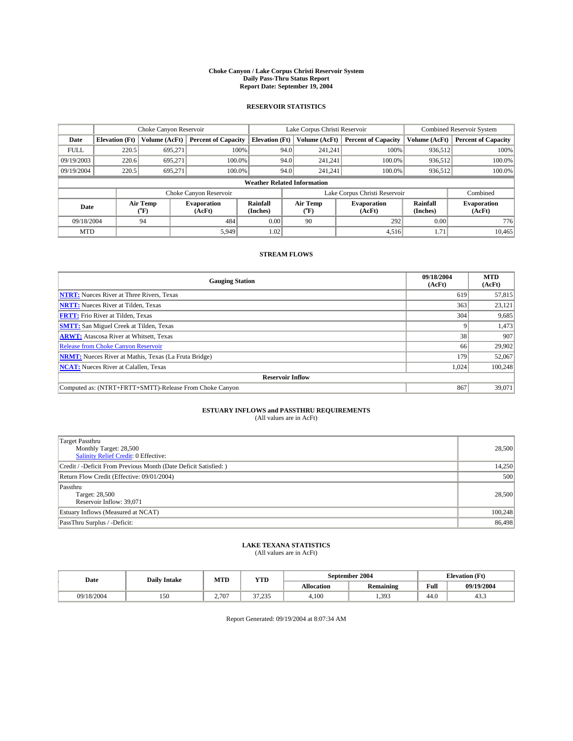#### **Choke Canyon / Lake Corpus Christi Reservoir System Daily Pass-Thru Status Report Report Date: September 19, 2004**

#### **RESERVOIR STATISTICS**

|                                    | Choke Canyon Reservoir |               |                              | Lake Corpus Christi Reservoir | <b>Combined Reservoir System</b> |                  |                               |                      |                              |
|------------------------------------|------------------------|---------------|------------------------------|-------------------------------|----------------------------------|------------------|-------------------------------|----------------------|------------------------------|
| Date                               | <b>Elevation</b> (Ft)  | Volume (AcFt) | <b>Percent of Capacity</b>   | <b>Elevation (Ft)</b>         |                                  | Volume (AcFt)    | <b>Percent of Capacity</b>    | Volume (AcFt)        | <b>Percent of Capacity</b>   |
| <b>FULL</b>                        | 220.5                  | 695,271       |                              | 100%                          | 94.0                             | 241,241          | 100%                          | 936.512              | 100%                         |
| 09/19/2003                         | 220.6                  | 695.271       | $100.0\%$                    |                               | 94.0                             | 241.241          | $100.0\%$                     | 936,512              | 100.0%                       |
| 09/19/2004                         | 220.5                  | 695.271       | 100.0%                       |                               | 94.0                             | 241,241          | $100.0\%$                     | 936,512              | 100.0%                       |
| <b>Weather Related Information</b> |                        |               |                              |                               |                                  |                  |                               |                      |                              |
|                                    |                        |               | Choke Canyon Reservoir       |                               |                                  |                  | Lake Corpus Christi Reservoir |                      | Combined                     |
| Air Temp<br>Date<br>(°F)           |                        |               | <b>Evaporation</b><br>(AcFt) | Rainfall<br>(Inches)          |                                  | Air Temp<br>("F) | <b>Evaporation</b><br>(AcFt)  | Rainfall<br>(Inches) | <b>Evaporation</b><br>(AcFt) |
| 09/18/2004                         |                        | 94            | 484                          | 0.00                          |                                  | 90               | 292                           | 0.00                 | 776                          |
| <b>MTD</b>                         |                        |               | 5,949                        | 1.02                          |                                  |                  | 4,516                         | 1.71                 | 10,465                       |

### **STREAM FLOWS**

| <b>Gauging Station</b>                                       | 09/18/2004<br>(AcFt) | <b>MTD</b><br>(AcFt) |  |  |  |  |  |
|--------------------------------------------------------------|----------------------|----------------------|--|--|--|--|--|
| <b>NTRT:</b> Nueces River at Three Rivers, Texas             | 619                  | 57,815               |  |  |  |  |  |
| <b>NRTT:</b> Nueces River at Tilden, Texas                   | 363                  | 23,121               |  |  |  |  |  |
| <b>FRTT:</b> Frio River at Tilden, Texas                     | 304                  | 9,685                |  |  |  |  |  |
| <b>SMTT:</b> San Miguel Creek at Tilden, Texas               |                      | 1,473                |  |  |  |  |  |
| <b>ARWT:</b> Atascosa River at Whitsett, Texas               | 38                   | 907                  |  |  |  |  |  |
| Release from Choke Canyon Reservoir                          | 66                   | 29,902               |  |  |  |  |  |
| <b>NRMT:</b> Nueces River at Mathis, Texas (La Fruta Bridge) | 179                  | 52,067               |  |  |  |  |  |
| <b>NCAT:</b> Nueces River at Calallen, Texas                 | 1,024                | 100,248              |  |  |  |  |  |
| <b>Reservoir Inflow</b>                                      |                      |                      |  |  |  |  |  |
| Computed as: (NTRT+FRTT+SMTT)-Release From Choke Canyon      | 867                  | 39,071               |  |  |  |  |  |

### **ESTUARY INFLOWS and PASSTHRU REQUIREMENTS**

(All values are in AcFt)

| Target Passthru<br>Monthly Target: 28,500<br>Salinity Relief Credit: 0 Effective: | 28,500  |
|-----------------------------------------------------------------------------------|---------|
| Credit / -Deficit From Previous Month (Date Deficit Satisfied: )                  | 14,250  |
| Return Flow Credit (Effective: 09/01/2004)                                        | 500     |
| Passthru<br>Target: 28,500<br>Reservoir Inflow: 39,071                            | 28,500  |
| Estuary Inflows (Measured at NCAT)                                                | 100,248 |
| PassThru Surplus / -Deficit:                                                      | 86,498  |

# **LAKE TEXANA STATISTICS** (All values are in AcFt)

| Date       | <b>Daily Intake</b> | MTD   | <b>YTD</b>         |                   | September 2004   | <b>Elevation</b> (Ft) |                |
|------------|---------------------|-------|--------------------|-------------------|------------------|-----------------------|----------------|
|            |                     |       |                    | <b>Allocation</b> | <b>Remaining</b> | Full                  | 09/19/2004     |
| 09/18/2004 | 150                 | 2.707 | 27.225<br>ر رے ، ر | 4.100             | 1.393            | $\sim$<br>44.0        | $\sim$<br>43.5 |

Report Generated: 09/19/2004 at 8:07:34 AM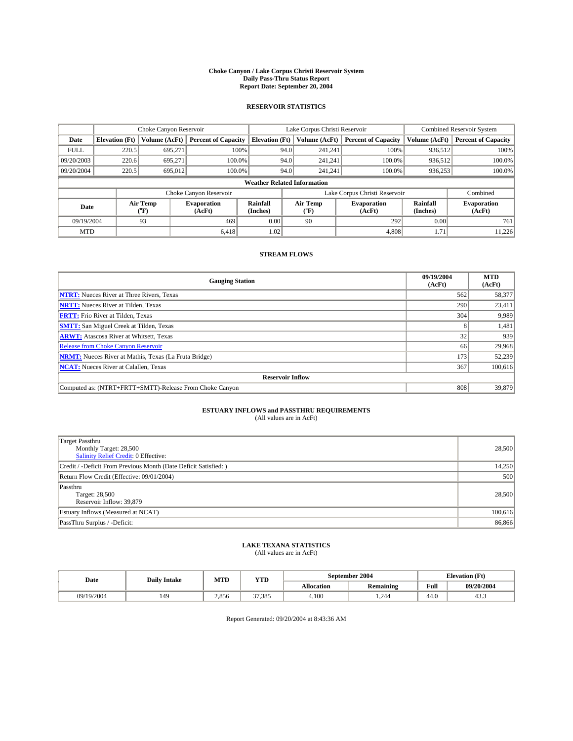#### **Choke Canyon / Lake Corpus Christi Reservoir System Daily Pass-Thru Status Report Report Date: September 20, 2004**

#### **RESERVOIR STATISTICS**

|                                    | Choke Canyon Reservoir |                  | Lake Corpus Christi Reservoir |                       |      |                  | <b>Combined Reservoir System</b> |                      |                              |
|------------------------------------|------------------------|------------------|-------------------------------|-----------------------|------|------------------|----------------------------------|----------------------|------------------------------|
| Date                               | <b>Elevation</b> (Ft)  | Volume (AcFt)    | <b>Percent of Capacity</b>    | <b>Elevation (Ft)</b> |      | Volume (AcFt)    | <b>Percent of Capacity</b>       | Volume (AcFt)        | <b>Percent of Capacity</b>   |
| <b>FULL</b>                        | 220.5                  | 695,271          |                               | 100%                  | 94.0 | 241,241          | 100%                             | 936.512              | 100%                         |
| 09/20/2003                         | 220.6                  | 695.271          | $100.0\%$                     |                       | 94.0 | 241.241          | $100.0\%$                        | 936,512              | 100.0%                       |
| 09/20/2004                         | 220.5                  | 695,012          | 100.0%                        |                       | 94.0 | 241,241          | $100.0\%$                        | 936,253              | 100.0%                       |
| <b>Weather Related Information</b> |                        |                  |                               |                       |      |                  |                                  |                      |                              |
|                                    |                        |                  | Choke Canyon Reservoir        |                       |      |                  | Lake Corpus Christi Reservoir    |                      | Combined                     |
| Date                               |                        | Air Temp<br>(°F) | <b>Evaporation</b><br>(AcFt)  | Rainfall<br>(Inches)  |      | Air Temp<br>("F) | <b>Evaporation</b><br>(AcFt)     | Rainfall<br>(Inches) | <b>Evaporation</b><br>(AcFt) |
| 09/19/2004                         |                        | 93               | 469                           | 0.00                  |      | 90               | 292                              | 0.00                 | 761                          |
| <b>MTD</b>                         |                        |                  | 6.418                         | 1.02                  |      |                  | 4,808                            | 1.71                 | 11,226                       |

### **STREAM FLOWS**

| <b>Gauging Station</b>                                       | 09/19/2004<br>(AcFt) | <b>MTD</b><br>(AcFt) |  |  |  |  |  |
|--------------------------------------------------------------|----------------------|----------------------|--|--|--|--|--|
| <b>NTRT:</b> Nueces River at Three Rivers, Texas             | 562                  | 58,377               |  |  |  |  |  |
| <b>NRTT:</b> Nueces River at Tilden, Texas                   | 290                  | 23,411               |  |  |  |  |  |
| <b>FRTT:</b> Frio River at Tilden, Texas                     | 304                  | 9,989                |  |  |  |  |  |
| <b>SMTT:</b> San Miguel Creek at Tilden, Texas               | 8                    | 1,481                |  |  |  |  |  |
| <b>ARWT:</b> Atascosa River at Whitsett, Texas               | 32                   | 939                  |  |  |  |  |  |
| Release from Choke Canyon Reservoir                          | 66                   | 29,968               |  |  |  |  |  |
| <b>NRMT:</b> Nueces River at Mathis, Texas (La Fruta Bridge) | 173                  | 52,239               |  |  |  |  |  |
| <b>NCAT:</b> Nueces River at Calallen, Texas                 | 367                  | 100,616              |  |  |  |  |  |
| <b>Reservoir Inflow</b>                                      |                      |                      |  |  |  |  |  |
| Computed as: (NTRT+FRTT+SMTT)-Release From Choke Canyon      | 808                  | 39,879               |  |  |  |  |  |

## **ESTUARY INFLOWS and PASSTHRU REQUIREMENTS**<br>(All values are in AcFt)

| Target Passthru<br>Monthly Target: 28,500<br>Salinity Relief Credit: 0 Effective: | 28,500  |
|-----------------------------------------------------------------------------------|---------|
| Credit / -Deficit From Previous Month (Date Deficit Satisfied: )                  | 14,250  |
| Return Flow Credit (Effective: 09/01/2004)                                        | 500     |
| Passthru<br>Target: 28,500<br>Reservoir Inflow: 39,879                            | 28,500  |
| Estuary Inflows (Measured at NCAT)                                                | 100,616 |
| PassThru Surplus / -Deficit:                                                      | 86,866  |

# **LAKE TEXANA STATISTICS** (All values are in AcFt)

| Date       | <b>Daily Intake</b> | MTD   | <b>YTD</b> |                   | September 2004   | <b>Elevation</b> (Ft) |                |
|------------|---------------------|-------|------------|-------------------|------------------|-----------------------|----------------|
|            |                     |       |            | <b>Allocation</b> | <b>Remaining</b> | Full                  | 09/20/2004     |
| 09/19/2004 | 149                 | 2.856 | 37.385     | 4.100             | .244             | $\sim$<br>44.U        | $\sim$<br>43.5 |

Report Generated: 09/20/2004 at 8:43:36 AM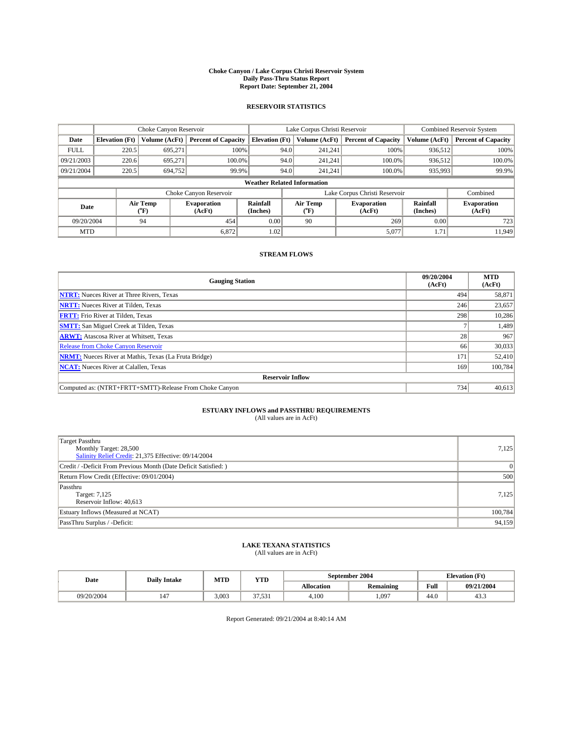#### **Choke Canyon / Lake Corpus Christi Reservoir System Daily Pass-Thru Status Report Report Date: September 21, 2004**

#### **RESERVOIR STATISTICS**

|                                    | Choke Canyon Reservoir |                  |                              | Lake Corpus Christi Reservoir | Combined Reservoir System |                  |                               |                             |                              |
|------------------------------------|------------------------|------------------|------------------------------|-------------------------------|---------------------------|------------------|-------------------------------|-----------------------------|------------------------------|
| Date                               | <b>Elevation</b> (Ft)  | Volume (AcFt)    | <b>Percent of Capacity</b>   | <b>Elevation</b> (Ft)         |                           | Volume (AcFt)    | <b>Percent of Capacity</b>    | Volume (AcFt)               | <b>Percent of Capacity</b>   |
| <b>FULL</b>                        | 220.5                  | 695,271          |                              | 100%                          | 94.0                      | 241,241          | 100%                          | 936.512                     | 100%                         |
| 09/21/2003                         | 220.6                  | 695.271          | $100.0\%$                    |                               | 94.0                      | 241.241          | $100.0\%$                     | 936.512                     | 100.0%                       |
| 09/21/2004                         | 220.5                  | 694,752          | 99.9%                        |                               | 94.0                      | 241.241          | $100.0\%$                     | 935,993                     | 99.9%                        |
| <b>Weather Related Information</b> |                        |                  |                              |                               |                           |                  |                               |                             |                              |
|                                    |                        |                  | Choke Canyon Reservoir       |                               |                           |                  | Lake Corpus Christi Reservoir |                             | Combined                     |
| Date                               |                        | Air Temp<br>(°F) | <b>Evaporation</b><br>(AcFt) | <b>Rainfall</b><br>(Inches)   |                           | Air Temp<br>("F) | <b>Evaporation</b><br>(AcFt)  | <b>Rainfall</b><br>(Inches) | <b>Evaporation</b><br>(AcFt) |
| 09/20/2004                         |                        | 94               | 454                          | 0.00                          |                           | 90               | 269                           | 0.00                        | 723                          |
| <b>MTD</b>                         |                        |                  | 6,872                        | 1.02                          |                           |                  | 5,077                         | 1.71                        | 11.949                       |

### **STREAM FLOWS**

| <b>Gauging Station</b>                                       | 09/20/2004<br>(AcFt) | <b>MTD</b><br>(AcFt) |
|--------------------------------------------------------------|----------------------|----------------------|
| <b>NTRT:</b> Nueces River at Three Rivers, Texas             | 494                  | 58,871               |
| <b>NRTT:</b> Nueces River at Tilden, Texas                   | 246                  | 23,657               |
| <b>FRTT:</b> Frio River at Tilden, Texas                     | 298                  | 10,286               |
| <b>SMTT:</b> San Miguel Creek at Tilden, Texas               |                      | 1,489                |
| <b>ARWT:</b> Atascosa River at Whitsett, Texas               | 28                   | 967                  |
| <b>Release from Choke Canyon Reservoir</b>                   | 66                   | 30,033               |
| <b>NRMT:</b> Nueces River at Mathis, Texas (La Fruta Bridge) | 171                  | 52,410               |
| <b>NCAT:</b> Nueces River at Calallen, Texas                 | 169                  | 100,784              |
| <b>Reservoir Inflow</b>                                      |                      |                      |
| Computed as: (NTRT+FRTT+SMTT)-Release From Choke Canyon      | 734                  | 40,613               |

## **ESTUARY INFLOWS and PASSTHRU REQUIREMENTS**<br>(All values are in AcFt)

| Target Passthru<br>Monthly Target: 28,500<br>Salinity Relief Credit: 21,375 Effective: 09/14/2004 | 7,125           |
|---------------------------------------------------------------------------------------------------|-----------------|
| Credit / -Deficit From Previous Month (Date Deficit Satisfied: )                                  | $\vert 0 \vert$ |
| Return Flow Credit (Effective: 09/01/2004)                                                        | 500             |
| Passthru<br>Target: 7,125<br>Reservoir Inflow: 40,613                                             | 7,125           |
| Estuary Inflows (Measured at NCAT)                                                                | 100,784         |
| PassThru Surplus / -Deficit:                                                                      | 94,159          |

# **LAKE TEXANA STATISTICS** (All values are in AcFt)

| Date       | <b>Daily Intake</b> | MTD   | <b>YTD</b>               |                   | September 2004   | <b>Elevation</b> (Ft) |            |
|------------|---------------------|-------|--------------------------|-------------------|------------------|-----------------------|------------|
|            |                     |       |                          | <b>Allocation</b> | <b>Remaining</b> | Full                  | 09/21/2004 |
| 09/20/2004 | 147                 | 3.003 | $\sim$<br><i><u></u></i> | 4,100             | .097             | $\sqrt{ }$<br>44.0    | 43.5       |

Report Generated: 09/21/2004 at 8:40:14 AM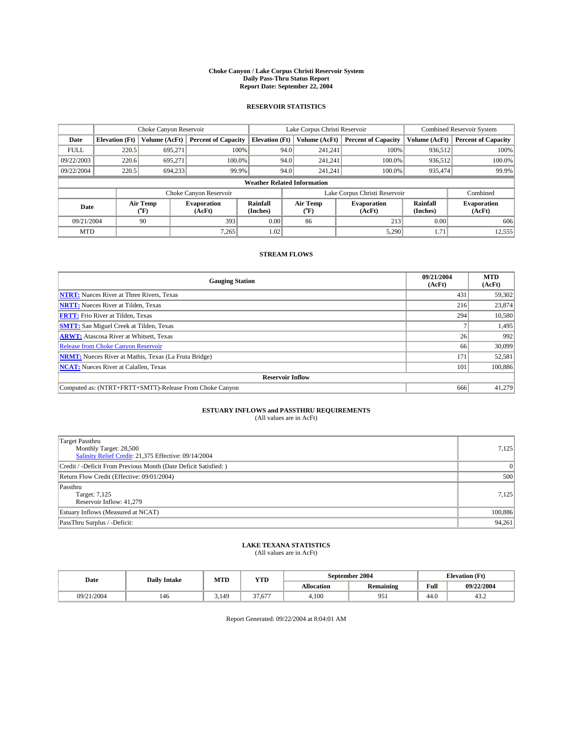#### **Choke Canyon / Lake Corpus Christi Reservoir System Daily Pass-Thru Status Report Report Date: September 22, 2004**

#### **RESERVOIR STATISTICS**

|                                    | Choke Canyon Reservoir |                  | Lake Corpus Christi Reservoir |                       |      |                  | <b>Combined Reservoir System</b> |                      |                              |
|------------------------------------|------------------------|------------------|-------------------------------|-----------------------|------|------------------|----------------------------------|----------------------|------------------------------|
| Date                               | <b>Elevation</b> (Ft)  | Volume (AcFt)    | <b>Percent of Capacity</b>    | <b>Elevation (Ft)</b> |      | Volume (AcFt)    | <b>Percent of Capacity</b>       | Volume (AcFt)        | <b>Percent of Capacity</b>   |
| <b>FULL</b>                        | 220.5                  | 695,271          |                               | 100%                  | 94.0 | 241,241          | 100%                             | 936.512              | 100%                         |
| 09/22/2003                         | 220.6                  | 695.271          | $100.0\%$                     |                       | 94.0 | 241.241          | $100.0\%$                        | 936.512              | 100.0%                       |
| 09/22/2004                         | 220.5                  | 694.233          | 99.9%                         |                       | 94.0 | 241,241          | $100.0\%$                        | 935,474              | 99.9%                        |
| <b>Weather Related Information</b> |                        |                  |                               |                       |      |                  |                                  |                      |                              |
|                                    |                        |                  | Choke Canyon Reservoir        |                       |      |                  | Lake Corpus Christi Reservoir    |                      | Combined                     |
| Date                               |                        | Air Temp<br>(°F) | <b>Evaporation</b><br>(AcFt)  | Rainfall<br>(Inches)  |      | Air Temp<br>("F) | <b>Evaporation</b><br>(AcFt)     | Rainfall<br>(Inches) | <b>Evaporation</b><br>(AcFt) |
| 09/21/2004                         |                        | 90               | 393                           | 0.00                  |      | 86               | 213                              | 0.00                 | 606                          |
| <b>MTD</b>                         |                        |                  | 7,265                         | 1.02                  |      |                  | 5,290                            | 1.71                 | 12,555                       |

### **STREAM FLOWS**

| <b>Gauging Station</b>                                       | 09/21/2004<br>(AcFt) | <b>MTD</b><br>(AcFt) |
|--------------------------------------------------------------|----------------------|----------------------|
| <b>NTRT:</b> Nueces River at Three Rivers, Texas             | 431                  | 59,302               |
| <b>NRTT:</b> Nueces River at Tilden, Texas                   | 216                  | 23,874               |
| <b>FRTT:</b> Frio River at Tilden, Texas                     | 294                  | 10,580               |
| <b>SMTT:</b> San Miguel Creek at Tilden, Texas               |                      | 1,495                |
| <b>ARWT:</b> Atascosa River at Whitsett, Texas               | 26                   | 992                  |
| Release from Choke Canyon Reservoir                          | 66                   | 30.099               |
| <b>NRMT:</b> Nueces River at Mathis, Texas (La Fruta Bridge) | 171                  | 52,581               |
| <b>NCAT:</b> Nueces River at Calallen, Texas                 | 101                  | 100,886              |
| <b>Reservoir Inflow</b>                                      |                      |                      |
| Computed as: (NTRT+FRTT+SMTT)-Release From Choke Canyon      | 666                  | 41,279               |

## **ESTUARY INFLOWS and PASSTHRU REQUIREMENTS**<br>(All values are in AcFt)

| Target Passthru<br>Monthly Target: 28,500<br>Salinity Relief Credit: 21,375 Effective: 09/14/2004 | 7,125           |
|---------------------------------------------------------------------------------------------------|-----------------|
| Credit / -Deficit From Previous Month (Date Deficit Satisfied: )                                  | $\vert 0 \vert$ |
| Return Flow Credit (Effective: 09/01/2004)                                                        | 500             |
| Passthru<br>Target: 7,125<br>Reservoir Inflow: 41,279                                             | 7,125           |
| Estuary Inflows (Measured at NCAT)                                                                | 100,886         |
| PassThru Surplus / -Deficit:                                                                      | 94,261          |

# **LAKE TEXANA STATISTICS** (All values are in AcFt)

| Date       | <b>Daily Intake</b> | MTD   | <b>YTD</b>             |                   | September 2004   | <b>Elevation</b> (Ft) |            |
|------------|---------------------|-------|------------------------|-------------------|------------------|-----------------------|------------|
|            |                     |       |                        | <b>Allocation</b> | <b>Remaining</b> | Full                  | 09/22/2004 |
| 09/21/2004 | 146                 | 3.149 | $\sim$<br>$-$<br>37.67 | 4,100             | 951              | $\sqrt{ }$<br>44.0    | 43.2       |

Report Generated: 09/22/2004 at 8:04:01 AM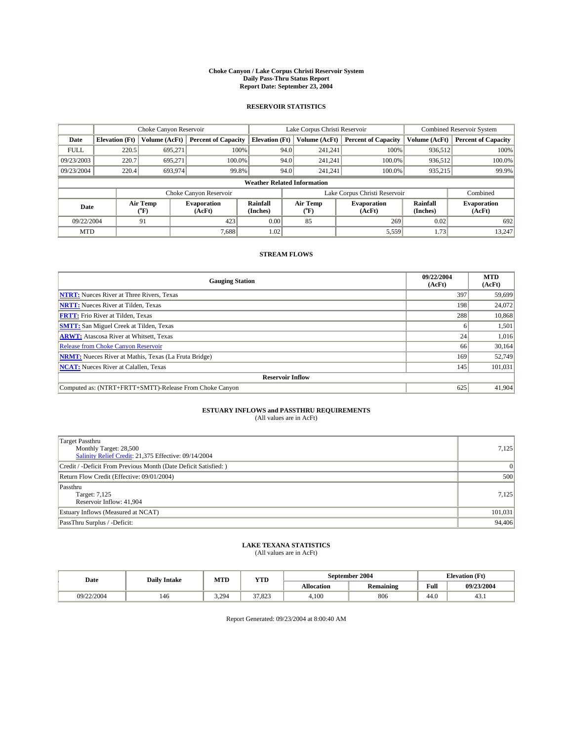#### **Choke Canyon / Lake Corpus Christi Reservoir System Daily Pass-Thru Status Report Report Date: September 23, 2004**

#### **RESERVOIR STATISTICS**

|             |                                    |                  |                              | Lake Corpus Christi Reservoir | <b>Combined Reservoir System</b> |                  |                               |                      |                              |  |
|-------------|------------------------------------|------------------|------------------------------|-------------------------------|----------------------------------|------------------|-------------------------------|----------------------|------------------------------|--|
| Date        | <b>Elevation</b> (Ft)              | Volume (AcFt)    | <b>Percent of Capacity</b>   | <b>Elevation (Ft)</b>         |                                  | Volume (AcFt)    | <b>Percent of Capacity</b>    | Volume (AcFt)        | <b>Percent of Capacity</b>   |  |
| <b>FULL</b> | 220.5                              | 695,271          | 100%                         |                               | 94.0                             | 241,241          | 100%                          | 936.512              | 100%                         |  |
| 09/23/2003  | 220.7                              | 695.271          | $100.0\%$                    |                               | 94.0                             | 241.241          | $100.0\%$                     | 936.512              | 100.0%                       |  |
| 09/23/2004  | 220.4                              | 693,974          | 99.8%                        |                               | 94.0                             | 241.241          | $100.0\%$                     | 935,215              | 99.9%                        |  |
|             | <b>Weather Related Information</b> |                  |                              |                               |                                  |                  |                               |                      |                              |  |
|             |                                    |                  | Choke Canyon Reservoir       |                               |                                  |                  | Lake Corpus Christi Reservoir |                      | Combined                     |  |
| Date        |                                    | Air Temp<br>(°F) | <b>Evaporation</b><br>(AcFt) | Rainfall<br>(Inches)          |                                  | Air Temp<br>("F) | <b>Evaporation</b><br>(AcFt)  | Rainfall<br>(Inches) | <b>Evaporation</b><br>(AcFt) |  |
| 09/22/2004  |                                    | 91               | 423                          | 0.00                          |                                  | 85               | 269                           | 0.02                 | 692                          |  |
| <b>MTD</b>  |                                    |                  | 7,688                        | 1.02                          |                                  |                  | 5,559                         | 1.73                 | 13,247                       |  |

### **STREAM FLOWS**

| <b>Gauging Station</b>                                       | 09/22/2004<br>(AcFt) | <b>MTD</b><br>(AcFt) |
|--------------------------------------------------------------|----------------------|----------------------|
| <b>NTRT:</b> Nueces River at Three Rivers, Texas             | 397                  | 59.699               |
| <b>NRTT:</b> Nueces River at Tilden, Texas                   | 198                  | 24,072               |
| <b>FRTT:</b> Frio River at Tilden, Texas                     | 288                  | 10,868               |
| <b>SMTT:</b> San Miguel Creek at Tilden, Texas               | h                    | 1,501                |
| <b>ARWT:</b> Atascosa River at Whitsett, Texas               | 24                   | 1,016                |
| Release from Choke Canyon Reservoir                          | 66                   | 30,164               |
| <b>NRMT:</b> Nueces River at Mathis, Texas (La Fruta Bridge) | 169                  | 52.749               |
| <b>NCAT:</b> Nueces River at Calallen, Texas                 | 145                  | 101,031              |
| <b>Reservoir Inflow</b>                                      |                      |                      |
| Computed as: (NTRT+FRTT+SMTT)-Release From Choke Canyon      | 625                  | 41,904               |

## **ESTUARY INFLOWS and PASSTHRU REQUIREMENTS**<br>(All values are in AcFt)

| Target Passthru<br>Monthly Target: 28,500<br>Salinity Relief Credit: 21,375 Effective: 09/14/2004 | 7,125    |
|---------------------------------------------------------------------------------------------------|----------|
| Credit / -Deficit From Previous Month (Date Deficit Satisfied: )                                  | $\Omega$ |
| Return Flow Credit (Effective: 09/01/2004)                                                        | 500      |
| Passthru<br>Target: 7,125<br>Reservoir Inflow: 41,904                                             | 7,125    |
| Estuary Inflows (Measured at NCAT)                                                                | 101,031  |
| PassThru Surplus / -Deficit:                                                                      | 94,406   |

# **LAKE TEXANA STATISTICS** (All values are in AcFt)

| Date       | <b>Daily Intake</b> | MTD   | <b>YTD</b>        |                   | September 2004   | <b>Elevation</b> (Ft) |            |
|------------|---------------------|-------|-------------------|-------------------|------------------|-----------------------|------------|
|            |                     |       |                   | <b>Allocation</b> | <b>Remaining</b> | Full                  | 09/23/2004 |
| 09/22/2004 | 146                 | 3.294 | 27022<br>د ۱.۵۷ د | 4.100             | 806              | $\sim$<br>44.U        | 43.1       |

Report Generated: 09/23/2004 at 8:00:40 AM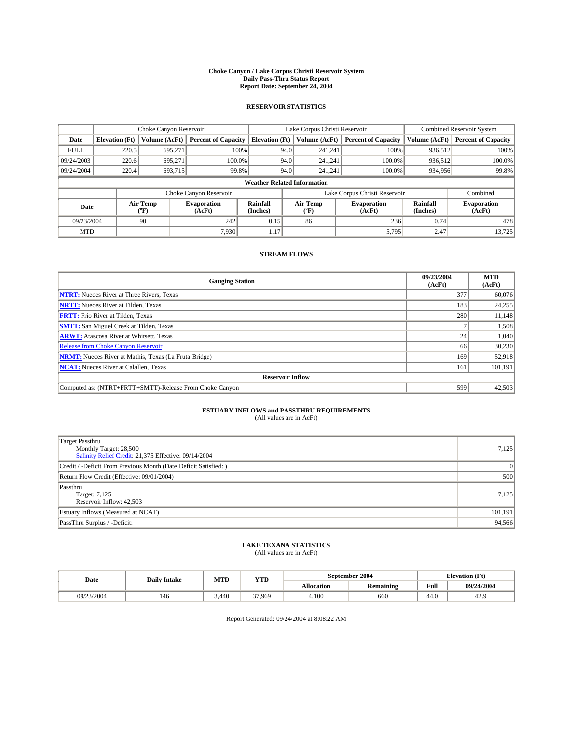#### **Choke Canyon / Lake Corpus Christi Reservoir System Daily Pass-Thru Status Report Report Date: September 24, 2004**

#### **RESERVOIR STATISTICS**

|             | Choke Canyon Reservoir             |                             |                              | Lake Corpus Christi Reservoir | <b>Combined Reservoir System</b> |                  |                               |                             |                              |  |
|-------------|------------------------------------|-----------------------------|------------------------------|-------------------------------|----------------------------------|------------------|-------------------------------|-----------------------------|------------------------------|--|
| Date        | <b>Elevation</b> (Ft)              | Volume (AcFt)               | <b>Percent of Capacity</b>   | <b>Elevation</b> (Ft)         |                                  | Volume (AcFt)    | <b>Percent of Capacity</b>    | Volume (AcFt)               | <b>Percent of Capacity</b>   |  |
| <b>FULL</b> | 220.5                              | 695,271                     |                              | 100%                          | 94.0                             | 241,241          | 100%                          | 936.512                     | 100%                         |  |
| 09/24/2003  | 220.6                              | 695.271                     | $100.0\%$                    |                               | 94.0                             | 241.241          | $100.0\%$                     | 936.512                     | 100.0%                       |  |
| 09/24/2004  | 220.4                              | 693,715                     | 99.8%                        |                               | 94.0                             | 241.241          | $100.0\%$                     | 934,956                     | 99.8%                        |  |
|             | <b>Weather Related Information</b> |                             |                              |                               |                                  |                  |                               |                             |                              |  |
|             |                                    |                             | Choke Canyon Reservoir       |                               |                                  |                  | Lake Corpus Christi Reservoir |                             | Combined                     |  |
| Date        |                                    | Air Temp<br>${}^{\circ}$ F) | <b>Evaporation</b><br>(AcFt) | <b>Rainfall</b><br>(Inches)   |                                  | Air Temp<br>("F) | <b>Evaporation</b><br>(AcFt)  | <b>Rainfall</b><br>(Inches) | <b>Evaporation</b><br>(AcFt) |  |
| 09/23/2004  |                                    | 90                          | 242                          | 0.15                          |                                  | 86               | 236                           | 0.74                        | 478                          |  |
| <b>MTD</b>  |                                    |                             | 7,930                        | 1.17                          |                                  |                  | 5,795                         | 2.47                        | 13,725                       |  |

### **STREAM FLOWS**

| <b>Gauging Station</b>                                       | 09/23/2004<br>(AcFt) | <b>MTD</b><br>(AcFt) |
|--------------------------------------------------------------|----------------------|----------------------|
| <b>NTRT:</b> Nueces River at Three Rivers, Texas             | 377                  | 60,076               |
| <b>NRTT:</b> Nueces River at Tilden, Texas                   | 183                  | 24,255               |
| <b>FRTT:</b> Frio River at Tilden, Texas                     | 280                  | 11,148               |
| <b>SMTT:</b> San Miguel Creek at Tilden, Texas               |                      | 1,508                |
| <b>ARWT:</b> Atascosa River at Whitsett, Texas               | 24                   | 1,040                |
| <b>Release from Choke Canyon Reservoir</b>                   | 66                   | 30,230               |
| <b>NRMT:</b> Nueces River at Mathis, Texas (La Fruta Bridge) | 169                  | 52,918               |
| <b>NCAT:</b> Nueces River at Calallen, Texas                 | 161                  | 101,191              |
| <b>Reservoir Inflow</b>                                      |                      |                      |
| Computed as: (NTRT+FRTT+SMTT)-Release From Choke Canyon      | 599                  | 42,503               |

### **ESTUARY INFLOWS and PASSTHRU REQUIREMENTS**

(All values are in AcFt)

| Target Passthru<br>Monthly Target: 28,500<br>Salinity Relief Credit: 21,375 Effective: 09/14/2004 | 7,125   |
|---------------------------------------------------------------------------------------------------|---------|
| Credit / -Deficit From Previous Month (Date Deficit Satisfied: )                                  | 0       |
| Return Flow Credit (Effective: 09/01/2004)                                                        | 500     |
| Passthru<br>Target: 7,125<br>Reservoir Inflow: 42,503                                             | 7,125   |
| Estuary Inflows (Measured at NCAT)                                                                | 101,191 |
| PassThru Surplus / -Deficit:                                                                      | 94,566  |

# **LAKE TEXANA STATISTICS** (All values are in AcFt)

| Date       | <b>Daily Intake</b> | MTD   | <b>YTD</b> |                   | September 2004   | <b>Elevation</b> (Ft) |            |
|------------|---------------------|-------|------------|-------------------|------------------|-----------------------|------------|
|            |                     |       |            | <b>Allocation</b> | <b>Remaining</b> | Full                  | 09/24/2004 |
| 09/23/2004 | 146                 | 5.440 | 37.969     | 4.100             | 660              | 44.U                  | 42.9       |

Report Generated: 09/24/2004 at 8:08:22 AM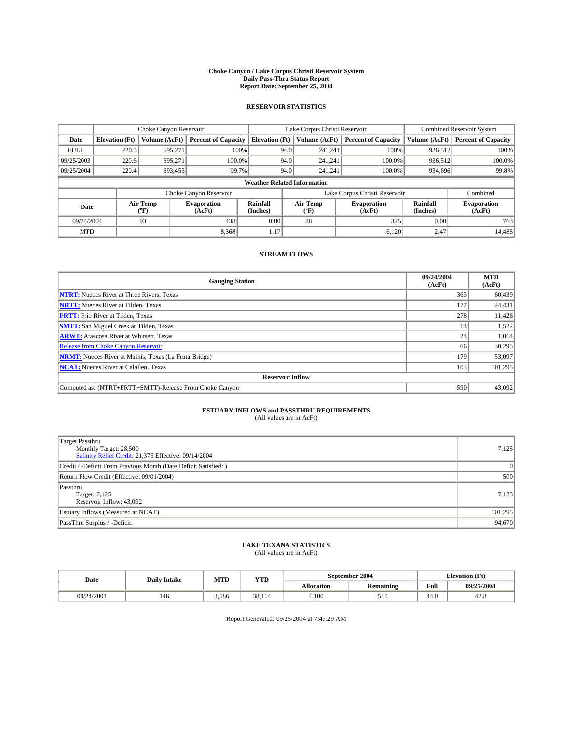#### **Choke Canyon / Lake Corpus Christi Reservoir System Daily Pass-Thru Status Report Report Date: September 25, 2004**

#### **RESERVOIR STATISTICS**

|             | Choke Canyon Reservoir             |                  | Lake Corpus Christi Reservoir |                             |                               |                  | <b>Combined Reservoir System</b> |                      |                              |  |
|-------------|------------------------------------|------------------|-------------------------------|-----------------------------|-------------------------------|------------------|----------------------------------|----------------------|------------------------------|--|
| Date        | <b>Elevation</b> (Ft)              | Volume (AcFt)    | <b>Percent of Capacity</b>    | <b>Elevation (Ft)</b>       |                               | Volume (AcFt)    | <b>Percent of Capacity</b>       | Volume (AcFt)        | <b>Percent of Capacity</b>   |  |
| <b>FULL</b> | 220.5                              | 695,271          |                               | 100%                        | 94.0                          | 241,241          | 100%                             | 936.512              | 100%                         |  |
| 09/25/2003  | 220.6                              | 695.271          | $100.0\%$                     |                             | 94.0                          | 241.241          | $100.0\%$                        | 936.512              | 100.0%                       |  |
| 09/25/2004  | 220.4                              | 693,455          | 99.7%                         |                             | 94.0                          | 241.241          | $100.0\%$                        | 934,696              | 99.8%                        |  |
|             | <b>Weather Related Information</b> |                  |                               |                             |                               |                  |                                  |                      |                              |  |
|             |                                    |                  | Choke Canyon Reservoir        |                             | Lake Corpus Christi Reservoir |                  |                                  |                      | Combined                     |  |
| Date        |                                    | Air Temp<br>(°F) | <b>Evaporation</b><br>(AcFt)  | <b>Rainfall</b><br>(Inches) |                               | Air Temp<br>("F) | <b>Evaporation</b><br>(AcFt)     | Rainfall<br>(Inches) | <b>Evaporation</b><br>(AcFt) |  |
| 09/24/2004  |                                    | 93               | 438                           | 0.00                        |                               | 88               | 325                              | 0.00                 | 763                          |  |
| <b>MTD</b>  |                                    |                  | 8,368                         | 1.17                        |                               |                  | 6,120                            | 2.47                 | 14,488                       |  |

### **STREAM FLOWS**

| <b>Gauging Station</b>                                       | 09/24/2004<br>(AcFt) | <b>MTD</b><br>(AcFt) |  |  |  |  |  |
|--------------------------------------------------------------|----------------------|----------------------|--|--|--|--|--|
| <b>NTRT:</b> Nueces River at Three Rivers, Texas             | 363                  | 60.439               |  |  |  |  |  |
| <b>NRTT:</b> Nueces River at Tilden, Texas                   | 177                  | 24,431               |  |  |  |  |  |
| <b>FRTT:</b> Frio River at Tilden, Texas                     | 278                  | 11,426               |  |  |  |  |  |
| <b>SMTT:</b> San Miguel Creek at Tilden, Texas               | 14                   | 1,522                |  |  |  |  |  |
| <b>ARWT:</b> Atascosa River at Whitsett, Texas               | 24                   | 1,064                |  |  |  |  |  |
| <b>Release from Choke Canyon Reservoir</b>                   | 66                   | 30,295               |  |  |  |  |  |
| <b>NRMT:</b> Nueces River at Mathis, Texas (La Fruta Bridge) | 179                  | 53,097               |  |  |  |  |  |
| <b>NCAT:</b> Nueces River at Calallen, Texas                 | 103                  | 101,295              |  |  |  |  |  |
| <b>Reservoir Inflow</b>                                      |                      |                      |  |  |  |  |  |
| Computed as: (NTRT+FRTT+SMTT)-Release From Choke Canyon      | 590                  | 43,092               |  |  |  |  |  |

## **ESTUARY INFLOWS and PASSTHRU REQUIREMENTS**<br>(All values are in AcFt)

| Target Passthru<br>Monthly Target: 28,500<br>Salinity Relief Credit: 21,375 Effective: 09/14/2004 | 7,125   |
|---------------------------------------------------------------------------------------------------|---------|
| Credit / -Deficit From Previous Month (Date Deficit Satisfied: )                                  | 0       |
| Return Flow Credit (Effective: 09/01/2004)                                                        | 500     |
| Passthru<br>Target: 7,125<br>Reservoir Inflow: 43,092                                             | 7,125   |
| Estuary Inflows (Measured at NCAT)                                                                | 101,295 |
| PassThru Surplus / -Deficit:                                                                      | 94,670  |

# **LAKE TEXANA STATISTICS** (All values are in AcFt)

| (All values are in ACPU) |  |  |  |
|--------------------------|--|--|--|
|                          |  |  |  |

| Date       | <b>Daily Intake</b> | MTD   | <b>YTD</b> |                   | September 2004   | <b>Elevation</b> (Ft) |            |
|------------|---------------------|-------|------------|-------------------|------------------|-----------------------|------------|
|            |                     |       |            | <b>Allocation</b> | <b>Remaining</b> | Full                  | 09/25/2004 |
| 09/24/2004 | 146                 | 3.586 | 38.114     | 4,100             | 51 <sup>2</sup>  | $\sim$<br>44.U        | 42.8       |

Report Generated: 09/25/2004 at 7:47:29 AM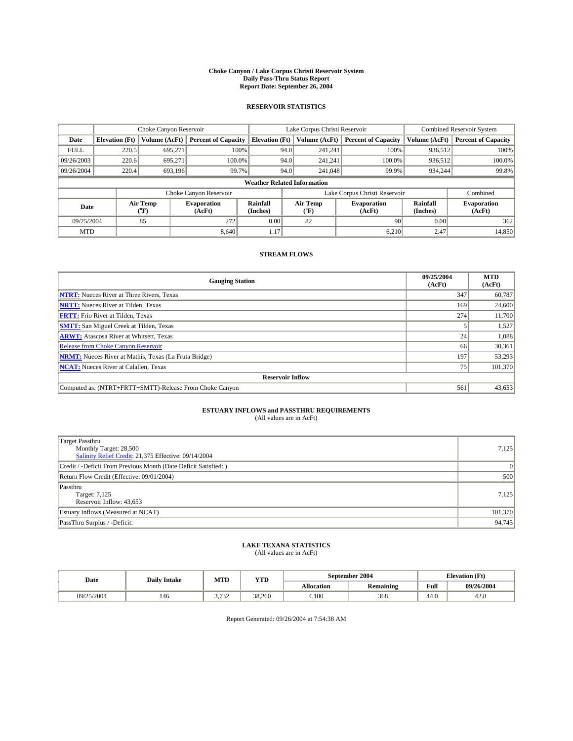#### **Choke Canyon / Lake Corpus Christi Reservoir System Daily Pass-Thru Status Report Report Date: September 26, 2004**

#### **RESERVOIR STATISTICS**

|             | Choke Canyon Reservoir             |                             | Lake Corpus Christi Reservoir |                             |                               |                  | Combined Reservoir System    |                             |                              |  |
|-------------|------------------------------------|-----------------------------|-------------------------------|-----------------------------|-------------------------------|------------------|------------------------------|-----------------------------|------------------------------|--|
| Date        | <b>Elevation</b> (Ft)              | Volume (AcFt)               | <b>Percent of Capacity</b>    | <b>Elevation</b> (Ft)       |                               | Volume (AcFt)    | <b>Percent of Capacity</b>   | Volume (AcFt)               | <b>Percent of Capacity</b>   |  |
| <b>FULL</b> | 220.5                              | 695,271                     |                               | 100%                        | 94.0                          | 241,241          | 100%                         | 936.512                     | 100%                         |  |
| 09/26/2003  | 220.6                              | 695.271                     | $100.0\%$                     |                             | 94.0                          | 241.241          | $100.0\%$                    | 936.512                     | 100.0%                       |  |
| 09/26/2004  | 220.4                              | 693,196                     |                               | 99.7%                       | 94.0                          | 241,048          | 99.9%                        | 934,244                     | 99.8%                        |  |
|             | <b>Weather Related Information</b> |                             |                               |                             |                               |                  |                              |                             |                              |  |
|             |                                    |                             | Choke Canyon Reservoir        |                             | Lake Corpus Christi Reservoir |                  |                              |                             | Combined                     |  |
| Date        |                                    | Air Temp<br>${}^{\circ}$ F) | <b>Evaporation</b><br>(AcFt)  | <b>Rainfall</b><br>(Inches) |                               | Air Temp<br>("F) | <b>Evaporation</b><br>(AcFt) | <b>Rainfall</b><br>(Inches) | <b>Evaporation</b><br>(AcFt) |  |
| 09/25/2004  |                                    | 85                          | 272                           | 0.00                        |                               | 82               | 90                           | 0.00                        | 362                          |  |
| <b>MTD</b>  |                                    |                             | 8.640                         | 1.17                        |                               |                  | 6,210                        | 2.47                        | 14,850                       |  |

### **STREAM FLOWS**

| <b>Gauging Station</b>                                       | 09/25/2004<br>(AcFt) | <b>MTD</b><br>(AcFt) |  |  |  |  |  |
|--------------------------------------------------------------|----------------------|----------------------|--|--|--|--|--|
| <b>NTRT:</b> Nueces River at Three Rivers, Texas             | 347                  | 60,787               |  |  |  |  |  |
| <b>NRTT:</b> Nueces River at Tilden, Texas                   | 169                  | 24,600               |  |  |  |  |  |
| <b>FRTT:</b> Frio River at Tilden, Texas                     | 274                  | 11,700               |  |  |  |  |  |
| <b>SMTT:</b> San Miguel Creek at Tilden, Texas               |                      | 1,527                |  |  |  |  |  |
| <b>ARWT:</b> Atascosa River at Whitsett, Texas               | 24                   | 1,088                |  |  |  |  |  |
| Release from Choke Canyon Reservoir                          | 66                   | 30,361               |  |  |  |  |  |
| <b>NRMT:</b> Nueces River at Mathis, Texas (La Fruta Bridge) | 197                  | 53,293               |  |  |  |  |  |
| <b>NCAT:</b> Nueces River at Calallen, Texas                 | 75                   | 101.370              |  |  |  |  |  |
| <b>Reservoir Inflow</b>                                      |                      |                      |  |  |  |  |  |
| Computed as: (NTRT+FRTT+SMTT)-Release From Choke Canyon      | 561                  | 43,653               |  |  |  |  |  |

### **ESTUARY INFLOWS and PASSTHRU REQUIREMENTS**

(All values are in AcFt)

| Target Passthru<br>Monthly Target: 28,500<br>Salinity Relief Credit: 21,375 Effective: 09/14/2004 | 7,125           |
|---------------------------------------------------------------------------------------------------|-----------------|
| Credit / -Deficit From Previous Month (Date Deficit Satisfied: )                                  | $\vert 0 \vert$ |
| Return Flow Credit (Effective: 09/01/2004)                                                        | 500             |
| Passthru<br>Target: 7,125<br>Reservoir Inflow: 43,653                                             | 7,125           |
| Estuary Inflows (Measured at NCAT)                                                                | 101,370         |
| PassThru Surplus / -Deficit:                                                                      | 94,745          |

# **LAKE TEXANA STATISTICS** (All values are in AcFt)

| Date       | <b>Daily Intake</b> | MTD                      | <b>YTD</b> |                   | September 2004   | <b>Elevation</b> (Ft) |            |
|------------|---------------------|--------------------------|------------|-------------------|------------------|-----------------------|------------|
|            |                     |                          |            | <b>Allocation</b> | <b>Remaining</b> | Full                  | 09/26/2004 |
| 09/25/2004 | 146                 | $\overline{\phantom{a}}$ | 38.260     | 4.100             | 368              | 44.U                  | 42.8       |

Report Generated: 09/26/2004 at 7:54:38 AM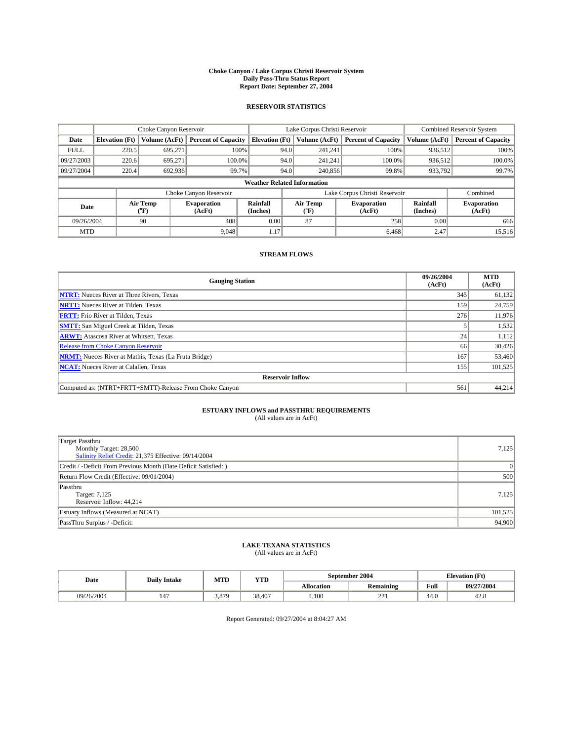#### **Choke Canyon / Lake Corpus Christi Reservoir System Daily Pass-Thru Status Report Report Date: September 27, 2004**

#### **RESERVOIR STATISTICS**

|             | Choke Canyon Reservoir             |                  | Lake Corpus Christi Reservoir |                             |                               |                  | <b>Combined Reservoir System</b> |                      |                              |  |
|-------------|------------------------------------|------------------|-------------------------------|-----------------------------|-------------------------------|------------------|----------------------------------|----------------------|------------------------------|--|
| Date        | <b>Elevation</b> (Ft)              | Volume (AcFt)    | <b>Percent of Capacity</b>    | <b>Elevation (Ft)</b>       |                               | Volume (AcFt)    | <b>Percent of Capacity</b>       | Volume (AcFt)        | <b>Percent of Capacity</b>   |  |
| <b>FULL</b> | 220.5                              | 695,271          |                               | 100%                        | 94.0                          | 241,241          | 100%                             | 936.512              | 100%                         |  |
| 09/27/2003  | 220.6                              | 695.271          | $100.0\%$                     |                             | 94.0                          | 241.241          | $100.0\%$                        | 936,512              | 100.0%                       |  |
| 09/27/2004  | 220.4                              | 692,936          |                               | 99.7%                       | 94.0                          | 240,856          | 99.8%                            | 933,792              | 99.7%                        |  |
|             | <b>Weather Related Information</b> |                  |                               |                             |                               |                  |                                  |                      |                              |  |
|             |                                    |                  | Choke Canyon Reservoir        |                             | Lake Corpus Christi Reservoir |                  |                                  |                      | Combined                     |  |
| Date        |                                    | Air Temp<br>(°F) | <b>Evaporation</b><br>(AcFt)  | <b>Rainfall</b><br>(Inches) |                               | Air Temp<br>("F) | <b>Evaporation</b><br>(AcFt)     | Rainfall<br>(Inches) | <b>Evaporation</b><br>(AcFt) |  |
| 09/26/2004  |                                    | 90               | 408                           | 0.00                        |                               | 87               | 258                              | 0.00                 | 666                          |  |
| <b>MTD</b>  |                                    |                  | 9.048                         | 1.17                        |                               |                  | 6,468                            | 2.47                 | 15,516                       |  |

### **STREAM FLOWS**

| <b>Gauging Station</b>                                       | 09/26/2004<br>(AcFt) | <b>MTD</b><br>(AcFt) |  |  |  |  |  |
|--------------------------------------------------------------|----------------------|----------------------|--|--|--|--|--|
| <b>NTRT:</b> Nueces River at Three Rivers, Texas             | 345                  | 61,132               |  |  |  |  |  |
| <b>NRTT:</b> Nueces River at Tilden, Texas                   | 159                  | 24,759               |  |  |  |  |  |
| <b>FRTT:</b> Frio River at Tilden, Texas                     | 276                  | 11,976               |  |  |  |  |  |
| <b>SMTT:</b> San Miguel Creek at Tilden, Texas               |                      | 1,532                |  |  |  |  |  |
| <b>ARWT:</b> Atascosa River at Whitsett, Texas               | 24                   | 1,112                |  |  |  |  |  |
| Release from Choke Canyon Reservoir                          | 66                   | 30,426               |  |  |  |  |  |
| <b>NRMT:</b> Nueces River at Mathis, Texas (La Fruta Bridge) | 167                  | 53,460               |  |  |  |  |  |
| <b>NCAT:</b> Nueces River at Calallen, Texas                 | 155                  | 101,525              |  |  |  |  |  |
| <b>Reservoir Inflow</b>                                      |                      |                      |  |  |  |  |  |
| Computed as: (NTRT+FRTT+SMTT)-Release From Choke Canyon      | 561                  | 44,214               |  |  |  |  |  |

### **ESTUARY INFLOWS and PASSTHRU REQUIREMENTS**

(All values are in AcFt)

| <b>Target Passthru</b><br>Monthly Target: 28,500<br>Salinity Relief Credit: 21,375 Effective: 09/14/2004 | 7,125          |
|----------------------------------------------------------------------------------------------------------|----------------|
| Credit / -Deficit From Previous Month (Date Deficit Satisfied: )                                         | $\overline{0}$ |
| Return Flow Credit (Effective: 09/01/2004)                                                               | 500            |
| Passthru<br>Target: 7,125<br>Reservoir Inflow: 44,214                                                    | 7,125          |
| Estuary Inflows (Measured at NCAT)                                                                       | 101,525        |
| PassThru Surplus / -Deficit:                                                                             | 94,900         |

# **LAKE TEXANA STATISTICS** (All values are in AcFt)

| Date       | <b>Daily Intake</b> | MTD   | <b>YTD</b> |                   | September 2004   | <b>Elevation</b> (Ft) |               |
|------------|---------------------|-------|------------|-------------------|------------------|-----------------------|---------------|
|            |                     |       |            | <b>Allocation</b> | <b>Remaining</b> | Full                  | 09/27/2004    |
| 09/26/2004 | 147                 | 3,879 | 38,407     | 4.100             | 22<br>44 L       | $\sim$<br>44.U        | 1 ^ O<br>42.6 |

Report Generated: 09/27/2004 at 8:04:27 AM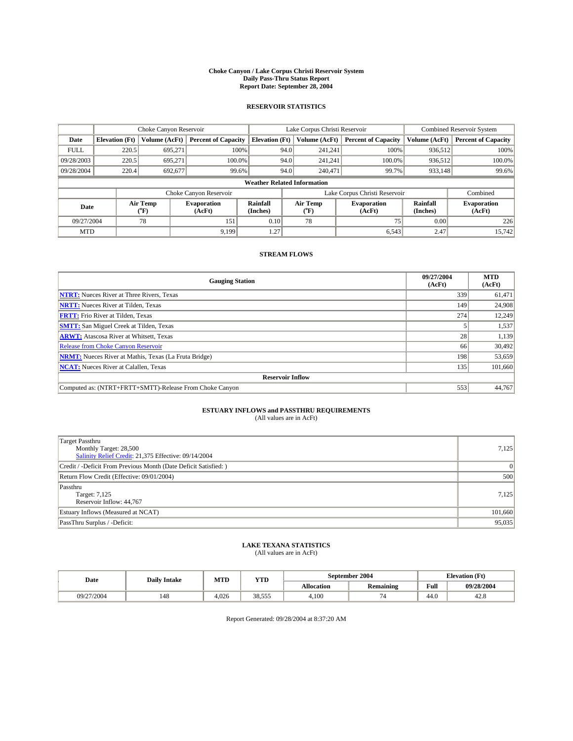#### **Choke Canyon / Lake Corpus Christi Reservoir System Daily Pass-Thru Status Report Report Date: September 28, 2004**

#### **RESERVOIR STATISTICS**

|             | Choke Canyon Reservoir                     |               | Lake Corpus Christi Reservoir |                                    |                               |                                                  | Combined Reservoir System  |                             |                              |
|-------------|--------------------------------------------|---------------|-------------------------------|------------------------------------|-------------------------------|--------------------------------------------------|----------------------------|-----------------------------|------------------------------|
| Date        | <b>Elevation</b> (Ft)                      | Volume (AcFt) | <b>Percent of Capacity</b>    | <b>Elevation</b> (Ft)              |                               | Volume (AcFt)                                    | <b>Percent of Capacity</b> | Volume (AcFt)               | <b>Percent of Capacity</b>   |
| <b>FULL</b> | 220.5                                      | 695,271       | 100%                          |                                    | 94.0                          | 241,241                                          | 100%                       | 936.512                     | 100%                         |
| 09/28/2003  | 220.5                                      | 695,271       | $100.0\%$                     |                                    | 94.0                          | 241.241                                          | $100.0\%$                  | 936,512                     | 100.0%                       |
| 09/28/2004  | 220.4                                      | 692,677       | 99.6%                         |                                    | 94.0                          | 240,471                                          | 99.7%                      | 933,148                     | 99.6%                        |
|             |                                            |               |                               | <b>Weather Related Information</b> |                               |                                                  |                            |                             |                              |
|             |                                            |               | Choke Canyon Reservoir        |                                    | Lake Corpus Christi Reservoir |                                                  |                            |                             | Combined                     |
|             | Air Temp<br>Date<br>${}^{\prime\prime}$ F) |               | <b>Evaporation</b><br>(AcFt)  | Rainfall<br>(Inches)               |                               | Air Temp<br><b>Evaporation</b><br>(AcFt)<br>("F) |                            | <b>Rainfall</b><br>(Inches) | <b>Evaporation</b><br>(AcFt) |
| 09/27/2004  |                                            | 78            | 151                           | 0.10                               |                               | 78                                               | 75                         | 0.00                        | 226                          |
| <b>MTD</b>  |                                            |               | 9.199                         | 1.27                               |                               |                                                  | 6.543                      | 2.47                        | 15.742                       |

### **STREAM FLOWS**

| <b>Gauging Station</b>                                       | 09/27/2004<br>(AcFt) | <b>MTD</b><br>(AcFt) |
|--------------------------------------------------------------|----------------------|----------------------|
| <b>NTRT:</b> Nueces River at Three Rivers, Texas             | 339                  | 61,471               |
| <b>NRTT:</b> Nueces River at Tilden, Texas                   | 149                  | 24,908               |
| <b>FRTT:</b> Frio River at Tilden, Texas                     | 274                  | 12,249               |
| <b>SMTT:</b> San Miguel Creek at Tilden, Texas               |                      | 1,537                |
| <b>ARWT:</b> Atascosa River at Whitsett, Texas               | 28                   | 1,139                |
| <b>Release from Choke Canyon Reservoir</b>                   | 66                   | 30,492               |
| <b>NRMT:</b> Nueces River at Mathis, Texas (La Fruta Bridge) | 198                  | 53,659               |
| <b>NCAT:</b> Nueces River at Calallen, Texas                 | 135                  | 101,660              |
| <b>Reservoir Inflow</b>                                      |                      |                      |
| Computed as: (NTRT+FRTT+SMTT)-Release From Choke Canyon      | 553                  | 44,767               |

### **ESTUARY INFLOWS and PASSTHRU REQUIREMENTS**

(All values are in AcFt)

| Target Passthru<br>Monthly Target: 28,500<br>Salinity Relief Credit: 21,375 Effective: 09/14/2004 | 7,125           |
|---------------------------------------------------------------------------------------------------|-----------------|
| Credit / -Deficit From Previous Month (Date Deficit Satisfied: )                                  | $\vert 0 \vert$ |
| Return Flow Credit (Effective: 09/01/2004)                                                        | 500             |
| Passthru<br>Target: 7,125<br>Reservoir Inflow: 44,767                                             | 7,125           |
| Estuary Inflows (Measured at NCAT)                                                                | 101,660         |
| PassThru Surplus / -Deficit:                                                                      | 95,035          |

# **LAKE TEXANA STATISTICS** (All values are in AcFt)

| Date       | <b>Daily Intake</b> | MTD   | <b>YTD</b> |                   | September 2004   | <b>Elevation</b> (Ft) |               |
|------------|---------------------|-------|------------|-------------------|------------------|-----------------------|---------------|
|            |                     |       |            | <b>Allocation</b> | <b>Remaining</b> | Full                  | 09/28/2004    |
| 09/27/2004 | 148                 | 4.026 | 38.555     | 4.100             |                  | $\sim$<br>44.U        | 1 ^ O<br>42.8 |

Report Generated: 09/28/2004 at 8:37:20 AM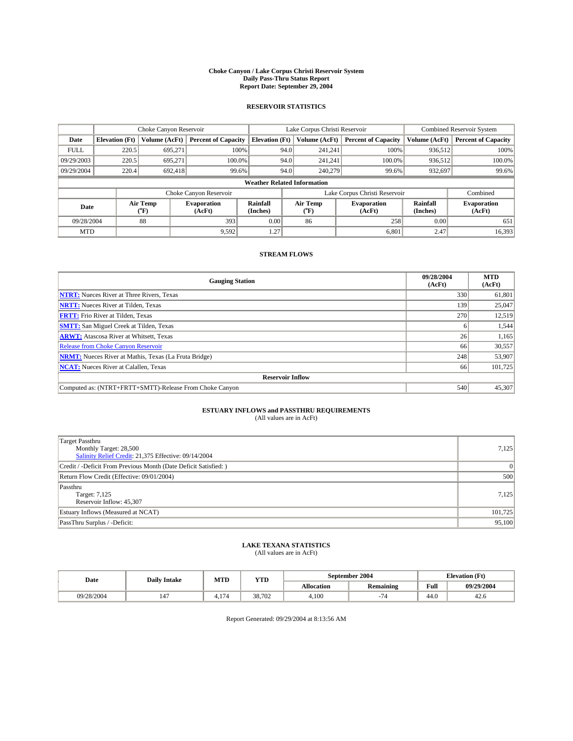#### **Choke Canyon / Lake Corpus Christi Reservoir System Daily Pass-Thru Status Report Report Date: September 29, 2004**

#### **RESERVOIR STATISTICS**

|             | Choke Canyon Reservoir              |               | Lake Corpus Christi Reservoir |                             |                               |                  | Combined Reservoir System    |                      |                              |
|-------------|-------------------------------------|---------------|-------------------------------|-----------------------------|-------------------------------|------------------|------------------------------|----------------------|------------------------------|
| Date        | <b>Elevation</b> (Ft)               | Volume (AcFt) | <b>Percent of Capacity</b>    | <b>Elevation</b> (Ft)       |                               | Volume (AcFt)    | <b>Percent of Capacity</b>   | Volume (AcFt)        | <b>Percent of Capacity</b>   |
| <b>FULL</b> | 220.5                               | 695,271       |                               | 100%                        | 94.0                          | 241,241          | 100%                         | 936.512              | 100%                         |
| 09/29/2003  | 220.5                               | 695.271       | $100.0\%$                     |                             | 94.0                          | 241.241          | $100.0\%$                    | 936.512              | 100.0%                       |
| 09/29/2004  | 220.4                               | 692,418       | 99.6%                         |                             | 94.0                          | 240,279          | 99.6%                        | 932,697              | 99.6%                        |
|             | <b>Weather Related Information</b>  |               |                               |                             |                               |                  |                              |                      |                              |
|             |                                     |               | Choke Canyon Reservoir        |                             | Lake Corpus Christi Reservoir |                  |                              |                      | Combined                     |
|             | Air Temp<br>Date<br>${}^{\circ}$ F) |               | <b>Evaporation</b><br>(AcFt)  | <b>Rainfall</b><br>(Inches) |                               | Air Temp<br>("F) | <b>Evaporation</b><br>(AcFt) | Rainfall<br>(Inches) | <b>Evaporation</b><br>(AcFt) |
| 09/28/2004  |                                     | 88            | 393                           | 0.00                        |                               | 86               | 258                          | 0.00                 | 651                          |
| <b>MTD</b>  |                                     |               | 9,592                         | 1.27                        |                               |                  | 6,801                        | 2.47                 | 16,393                       |

### **STREAM FLOWS**

| <b>Gauging Station</b>                                       | 09/28/2004<br>(AcFt) | <b>MTD</b><br>(AcFt) |
|--------------------------------------------------------------|----------------------|----------------------|
| <b>NTRT:</b> Nueces River at Three Rivers, Texas             | 330                  | 61,801               |
| <b>NRTT:</b> Nueces River at Tilden, Texas                   | 139                  | 25,047               |
| <b>FRTT:</b> Frio River at Tilden, Texas                     | 270                  | 12,519               |
| <b>SMTT:</b> San Miguel Creek at Tilden, Texas               | h                    | 1,544                |
| <b>ARWT:</b> Atascosa River at Whitsett, Texas               | 26                   | 1,165                |
| <b>Release from Choke Canyon Reservoir</b>                   | 66                   | 30,557               |
| <b>NRMT:</b> Nueces River at Mathis, Texas (La Fruta Bridge) | 248                  | 53,907               |
| <b>NCAT:</b> Nueces River at Calallen, Texas                 | 66                   | 101,725              |
| <b>Reservoir Inflow</b>                                      |                      |                      |
| Computed as: (NTRT+FRTT+SMTT)-Release From Choke Canyon      | 540                  | 45,307               |

## **ESTUARY INFLOWS and PASSTHRU REQUIREMENTS**<br>(All values are in AcFt)

| Target Passthru<br>Monthly Target: 28,500<br>Salinity Relief Credit: 21,375 Effective: 09/14/2004 | 7,125   |
|---------------------------------------------------------------------------------------------------|---------|
| Credit / -Deficit From Previous Month (Date Deficit Satisfied: )                                  | 0       |
| Return Flow Credit (Effective: 09/01/2004)                                                        | 500     |
| Passthru<br>Target: 7,125<br>Reservoir Inflow: 45,307                                             | 7,125   |
| Estuary Inflows (Measured at NCAT)                                                                | 101,725 |
| PassThru Surplus / -Deficit:                                                                      | 95,100  |

# **LAKE TEXANA STATISTICS** (All values are in AcFt)

| Date       | <b>Daily Intake</b> | MTD                | <b>YTD</b> |                   | September 2004   |                | <b>Elevation</b> (Ft) |  |
|------------|---------------------|--------------------|------------|-------------------|------------------|----------------|-----------------------|--|
|            |                     |                    |            | <b>Allocation</b> | <b>Remaining</b> | Full           | 09/29/2004            |  |
| 09/28/2004 | 147                 | 174<br><b>T.LI</b> | 38.702     | 4,100             |                  | $\sim$<br>44.V | 42.0                  |  |

Report Generated: 09/29/2004 at 8:13:56 AM